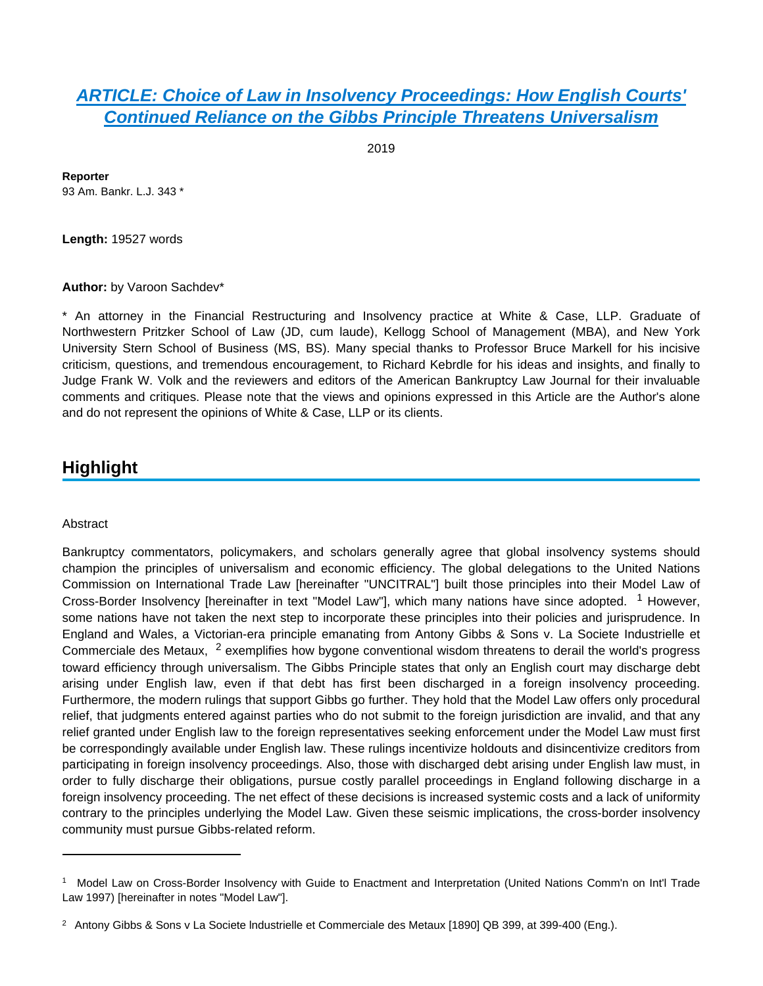## **[ARTICLE: Choice of Law in Insolvency Proceedings: How English Courts'](https://advance.lexis.com/api/document?collection=analytical-materials&id=urn:contentItem:5WK2-W0M0-00CW-C00D-00000-00&context=)  [Continued Reliance on the Gibbs Principle Threatens Universalism](https://advance.lexis.com/api/document?collection=analytical-materials&id=urn:contentItem:5WK2-W0M0-00CW-C00D-00000-00&context=)**

2019

**Reporter** 93 Am. Bankr. L.J. 343 \*

**Length:** 19527 words

**Author:** by Varoon Sachdev\*

\* An attorney in the Financial Restructuring and Insolvency practice at White & Case, LLP. Graduate of Northwestern Pritzker School of Law (JD, cum laude), Kellogg School of Management (MBA), and New York University Stern School of Business (MS, BS). Many special thanks to Professor Bruce Markell for his incisive criticism, questions, and tremendous encouragement, to Richard Kebrdle for his ideas and insights, and finally to Judge Frank W. Volk and the reviewers and editors of the American Bankruptcy Law Journal for their invaluable comments and critiques. Please note that the views and opinions expressed in this Article are the Author's alone and do not represent the opinions of White & Case, LLP or its clients.

# **Highlight**

#### **Abstract**

Bankruptcy commentators, policymakers, and scholars generally agree that global insolvency systems should champion the principles of universalism and economic efficiency. The global delegations to the United Nations Commission on International Trade Law [hereinafter "UNCITRAL"] built those principles into their Model Law of Cross-Border Insolvency [hereinafter in text "Model Law"], which many nations have since adopted. <sup>1</sup> However, some nations have not taken the next step to incorporate these principles into their policies and jurisprudence. In England and Wales, a Victorian-era principle emanating from Antony Gibbs & Sons v. La Societe Industrielle et Commerciale des Metaux, <sup>2</sup> exemplifies how bygone conventional wisdom threatens to derail the world's progress toward efficiency through universalism. The Gibbs Principle states that only an English court may discharge debt arising under English law, even if that debt has first been discharged in a foreign insolvency proceeding. Furthermore, the modern rulings that support Gibbs go further. They hold that the Model Law offers only procedural relief, that judgments entered against parties who do not submit to the foreign jurisdiction are invalid, and that any relief granted under English law to the foreign representatives seeking enforcement under the Model Law must first be correspondingly available under English law. These rulings incentivize holdouts and disincentivize creditors from participating in foreign insolvency proceedings. Also, those with discharged debt arising under English law must, in order to fully discharge their obligations, pursue costly parallel proceedings in England following discharge in a foreign insolvency proceeding. The net effect of these decisions is increased systemic costs and a lack of uniformity contrary to the principles underlying the Model Law. Given these seismic implications, the cross-border insolvency community must pursue Gibbs-related reform.

<sup>&</sup>lt;sup>1</sup> Model Law on Cross-Border Insolvency with Guide to Enactment and Interpretation (United Nations Comm'n on Int'l Trade Law 1997) [hereinafter in notes "Model Law"].

<sup>2</sup> Antony Gibbs & Sons v La Societe lndustrielle et Commerciale des Metaux [1890] QB 399, at 399-400 (Eng.).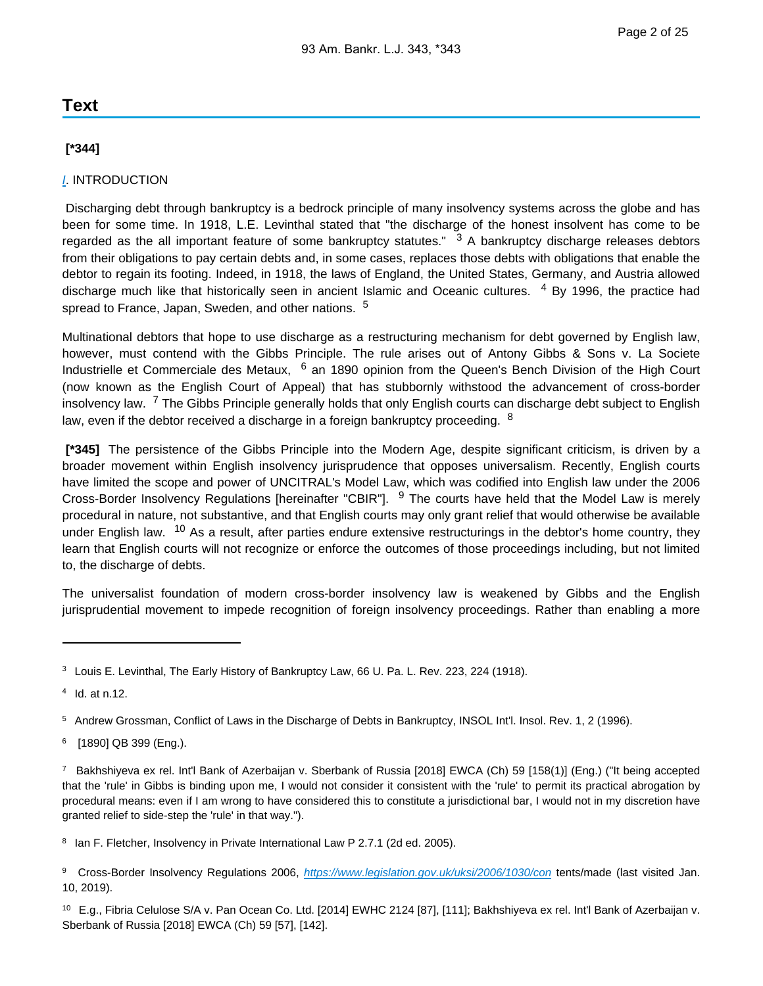## **Text**

## **[\*344]**

## [I](https://advance.lexis.com/api/document?collection=statutes-legislation&id=urn:contentItem:8T9R-T2X2-D6RV-H374-00000-00&context=). INTRODUCTION

 Discharging debt through bankruptcy is a bedrock principle of many insolvency systems across the globe and has been for some time. In 1918, L.E. Levinthal stated that "the discharge of the honest insolvent has come to be regarded as the all important feature of some bankruptcy statutes." <sup>3</sup> A bankruptcy discharge releases debtors from their obligations to pay certain debts and, in some cases, replaces those debts with obligations that enable the debtor to regain its footing. Indeed, in 1918, the laws of England, the United States, Germany, and Austria allowed discharge much like that historically seen in ancient Islamic and Oceanic cultures. <sup>4</sup> By 1996, the practice had spread to France, Japan, Sweden, and other nations. <sup>5</sup>

Multinational debtors that hope to use discharge as a restructuring mechanism for debt governed by English law, however, must contend with the Gibbs Principle. The rule arises out of Antony Gibbs & Sons v. La Societe Industrielle et Commerciale des Metaux, <sup>6</sup> an 1890 opinion from the Queen's Bench Division of the High Court (now known as the English Court of Appeal) that has stubbornly withstood the advancement of cross-border insolvency law. <sup>7</sup> The Gibbs Principle generally holds that only English courts can discharge debt subject to English law, even if the debtor received a discharge in a foreign bankruptcy proceeding.  $8$ 

 **[\*345]** The persistence of the Gibbs Principle into the Modern Age, despite significant criticism, is driven by a broader movement within English insolvency jurisprudence that opposes universalism. Recently, English courts have limited the scope and power of UNCITRAL's Model Law, which was codified into English law under the 2006 Cross-Border Insolvency Regulations [hereinafter "CBIR"]. <sup>9</sup> The courts have held that the Model Law is merely procedural in nature, not substantive, and that English courts may only grant relief that would otherwise be available under English law. <sup>10</sup> As a result, after parties endure extensive restructurings in the debtor's home country, they learn that English courts will not recognize or enforce the outcomes of those proceedings including, but not limited to, the discharge of debts.

The universalist foundation of modern cross-border insolvency law is weakened by Gibbs and the English jurisprudential movement to impede recognition of foreign insolvency proceedings. Rather than enabling a more

<sup>&</sup>lt;sup>3</sup> Louis E. Levinthal, The Early History of Bankruptcy Law, 66 U. Pa. L. Rev. 223, 224 (1918).

 $4$  Id. at n.12.

<sup>5</sup> Andrew Grossman, Conflict of Laws in the Discharge of Debts in Bankruptcy, INSOL Int'l. Insol. Rev. 1, 2 (1996).

<sup>&</sup>lt;sup>6</sup> [1890] QB 399 (Eng.).

<sup>7</sup>Bakhshiyeva ex rel. Int'l Bank of Azerbaijan v. Sberbank of Russia [2018] EWCA (Ch) 59 [158(1)] (Eng.) ("It being accepted that the 'rule' in Gibbs is binding upon me, I would not consider it consistent with the 'rule' to permit its practical abrogation by procedural means: even if I am wrong to have considered this to constitute a jurisdictional bar, I would not in my discretion have granted relief to side-step the 'rule' in that way.").

<sup>&</sup>lt;sup>8</sup> Ian F. Fletcher, Insolvency in Private International Law P 2.7.1 (2d ed. 2005).

<sup>9</sup> Cross-Border Insolvency Regulations 2006, <https://www.legislation.gov.uk/uksi/2006/1030/con> tents/made (last visited Jan. 10, 2019).

<sup>10</sup> E.g., Fibria Celulose S/A v. Pan Ocean Co. Ltd. [2014] EWHC 2124 [87], [111]; Bakhshiyeva ex rel. Int'l Bank of Azerbaijan v. Sberbank of Russia [2018] EWCA (Ch) 59 [57], [142].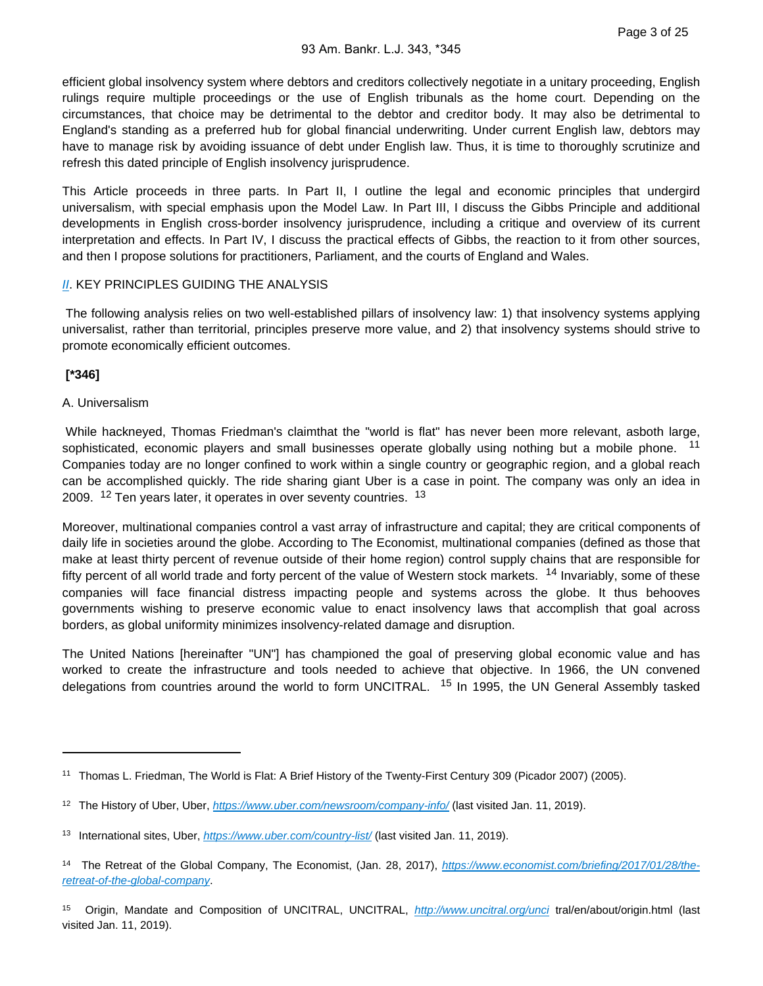efficient global insolvency system where debtors and creditors collectively negotiate in a unitary proceeding, English rulings require multiple proceedings or the use of English tribunals as the home court. Depending on the circumstances, that choice may be detrimental to the debtor and creditor body. It may also be detrimental to England's standing as a preferred hub for global financial underwriting. Under current English law, debtors may have to manage risk by avoiding issuance of debt under English law. Thus, it is time to thoroughly scrutinize and refresh this dated principle of English insolvency jurisprudence.

This Article proceeds in three parts. In Part II, I outline the legal and economic principles that undergird universalism, with special emphasis upon the Model Law. In Part III, I discuss the Gibbs Principle and additional developments in English cross-border insolvency jurisprudence, including a critique and overview of its current interpretation and effects. In Part IV, I discuss the practical effects of Gibbs, the reaction to it from other sources, and then I propose solutions for practitioners, Parliament, and the courts of England and Wales.

### **[II](https://advance.lexis.com/api/document?collection=statutes-legislation&id=urn:contentItem:8T9R-T352-D6RV-H379-00000-00&context=). KEY PRINCIPLES GUIDING THE ANALYSIS**

 The following analysis relies on two well-established pillars of insolvency law: 1) that insolvency systems applying universalist, rather than territorial, principles preserve more value, and 2) that insolvency systems should strive to promote economically efficient outcomes.

## **[\*346]**

### A. Universalism

 While hackneyed, Thomas Friedman's claimthat the "world is flat" has never been more relevant, asboth large, sophisticated, economic players and small businesses operate globally using nothing but a mobile phone. <sup>11</sup> Companies today are no longer confined to work within a single country or geographic region, and a global reach can be accomplished quickly. The ride sharing giant Uber is a case in point. The company was only an idea in 2009.  $12$  Ten years later, it operates in over seventy countries.  $13$ 

Moreover, multinational companies control a vast array of infrastructure and capital; they are critical components of daily life in societies around the globe. According to The Economist, multinational companies (defined as those that make at least thirty percent of revenue outside of their home region) control supply chains that are responsible for fifty percent of all world trade and forty percent of the value of Western stock markets. <sup>14</sup> Invariably, some of these companies will face financial distress impacting people and systems across the globe. It thus behooves governments wishing to preserve economic value to enact insolvency laws that accomplish that goal across borders, as global uniformity minimizes insolvency-related damage and disruption.

The United Nations [hereinafter "UN"] has championed the goal of preserving global economic value and has worked to create the infrastructure and tools needed to achieve that objective. In 1966, the UN convened delegations from countries around the world to form UNCITRAL. <sup>15</sup> In 1995, the UN General Assembly tasked

<sup>&</sup>lt;sup>11</sup> Thomas L. Friedman, The World is Flat: A Brief History of the Twenty-First Century 309 (Picador 2007) (2005).

<sup>&</sup>lt;sup>12</sup> The History of Uber, Uber, <https://www.uber.com/newsroom/company-info/> (last visited Jan. 11, 2019).

<sup>13</sup> International sites, Uber, <https://www.uber.com/country-list/> (last visited Jan. 11, 2019).

<sup>&</sup>lt;sup>14</sup> The Retreat of the Global Company, The Economist, (Jan. 28, 2017), [https://www.economist.com/briefing/2017/01/28/the](https://www.economist.com/briefing/2017/01/28/the-retreat-of-the-global-company)[retreat-of-the-global-company](https://www.economist.com/briefing/2017/01/28/the-retreat-of-the-global-company).

<sup>15</sup> Origin, Mandate and Composition of UNCITRAL, UNCITRAL, <http://www.uncitral.org/unci> tral/en/about/origin.html (last visited Jan. 11, 2019).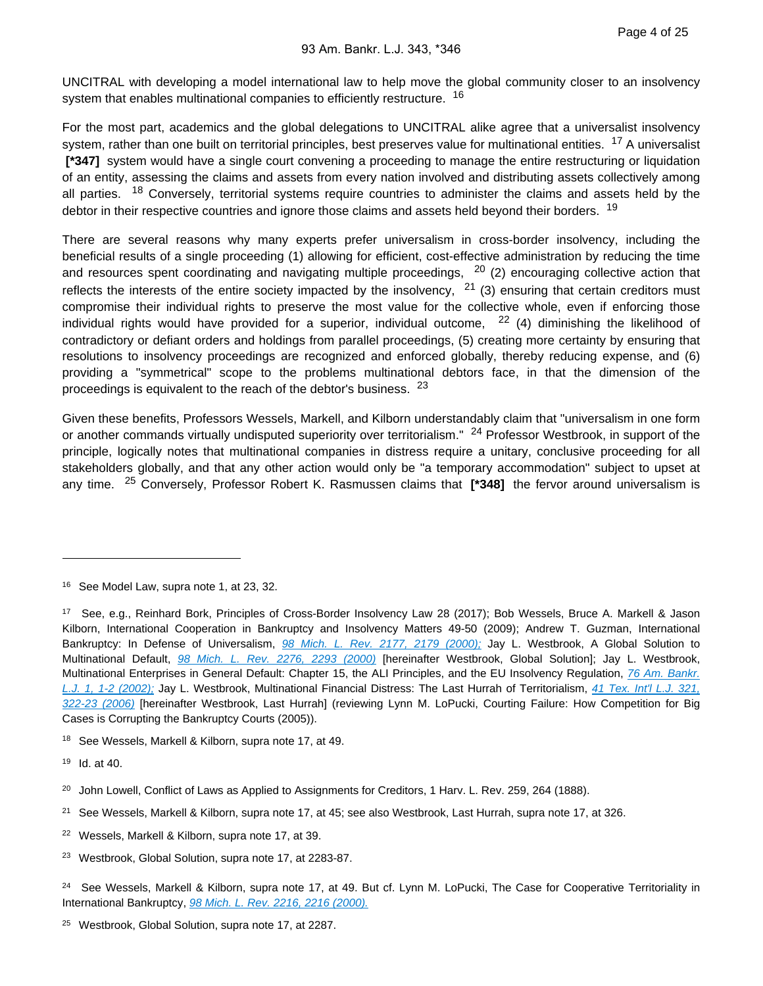UNCITRAL with developing a model international law to help move the global community closer to an insolvency system that enables multinational companies to efficiently restructure. <sup>16</sup>

For the most part, academics and the global delegations to UNCITRAL alike agree that a universalist insolvency system, rather than one built on territorial principles, best preserves value for multinational entities. <sup>17</sup> A universalist  **[\*347]** system would have a single court convening a proceeding to manage the entire restructuring or liquidation of an entity, assessing the claims and assets from every nation involved and distributing assets collectively among all parties. <sup>18</sup> Conversely, territorial systems require countries to administer the claims and assets held by the debtor in their respective countries and ignore those claims and assets held beyond their borders. <sup>19</sup>

There are several reasons why many experts prefer universalism in cross-border insolvency, including the beneficial results of a single proceeding (1) allowing for efficient, cost-effective administration by reducing the time and resources spent coordinating and navigating multiple proceedings, <sup>20</sup> (2) encouraging collective action that reflects the interests of the entire society impacted by the insolvency,  $21$  (3) ensuring that certain creditors must compromise their individual rights to preserve the most value for the collective whole, even if enforcing those individual rights would have provided for a superior, individual outcome, <sup>22</sup> (4) diminishing the likelihood of contradictory or defiant orders and holdings from parallel proceedings, (5) creating more certainty by ensuring that resolutions to insolvency proceedings are recognized and enforced globally, thereby reducing expense, and (6) providing a "symmetrical" scope to the problems multinational debtors face, in that the dimension of the proceedings is equivalent to the reach of the debtor's business. <sup>23</sup>

Given these benefits, Professors Wessels, Markell, and Kilborn understandably claim that "universalism in one form or another commands virtually undisputed superiority over territorialism." <sup>24</sup> Professor Westbrook, in support of the principle, logically notes that multinational companies in distress require a unitary, conclusive proceeding for all stakeholders globally, and that any other action would only be "a temporary accommodation" subject to upset at any time. 25 Conversely, Professor Robert K. Rasmussen claims that **[\*348]** the fervor around universalism is

<sup>&</sup>lt;sup>16</sup> See Model Law, supra note 1, at 23, 32.

<sup>17</sup> See, e.g., Reinhard Bork, Principles of Cross-Border Insolvency Law 28 (2017); Bob Wessels, Bruce A. Markell & Jason Kilborn, International Cooperation in Bankruptcy and Insolvency Matters 49-50 (2009); Andrew T. Guzman, International Bankruptcy: In Defense of Universalism, [98 Mich. L. Rev. 2177, 2179 \(2000\);](https://advance.lexis.com/api/document?collection=analytical-materials&id=urn:contentItem:41YG-4KG0-00CV-51BF-00000-00&context=) Jay L. Westbrook, A Global Solution to Multinational Default, [98 Mich. L. Rev. 2276, 2293 \(2000\)](https://advance.lexis.com/api/document?collection=analytical-materials&id=urn:contentItem:41YG-4KH0-00CV-51BJ-00000-00&context=) [hereinafter Westbrook, Global Solution]; Jay L. Westbrook, Multinational Enterprises in General Default: Chapter 15, the ALI Principles, and the EU Insolvency Regulation, 76 Am. Bankr. [L.J. 1, 1-2 \(2002\);](https://advance.lexis.com/api/document?collection=analytical-materials&id=urn:contentItem:46BR-06N0-00CW-C007-00000-00&context=) Jay L. Westbrook, Multinational Financial Distress: The Last Hurrah of Territorialism, [41 Tex. Int'l L.J. 321,](https://advance.lexis.com/api/document?collection=analytical-materials&id=urn:contentItem:4KGG-P850-00CV-906M-00000-00&context=)  [322-23 \(2006\)](https://advance.lexis.com/api/document?collection=analytical-materials&id=urn:contentItem:4KGG-P850-00CV-906M-00000-00&context=) [hereinafter Westbrook, Last Hurrah] (reviewing Lynn M. LoPucki, Courting Failure: How Competition for Big Cases is Corrupting the Bankruptcy Courts (2005)).

<sup>&</sup>lt;sup>18</sup> See Wessels, Markell & Kilborn, supra note 17, at 49.

 $19$  Id. at 40.

<sup>&</sup>lt;sup>20</sup> John Lowell, Conflict of Laws as Applied to Assignments for Creditors, 1 Harv. L. Rev. 259, 264 (1888).

<sup>&</sup>lt;sup>21</sup> See Wessels, Markell & Kilborn, supra note 17, at 45; see also Westbrook, Last Hurrah, supra note 17, at 326.

<sup>22</sup>Wessels, Markell & Kilborn, supra note 17, at 39.

<sup>&</sup>lt;sup>23</sup> Westbrook, Global Solution, supra note 17, at 2283-87.

<sup>&</sup>lt;sup>24</sup> See Wessels, Markell & Kilborn, supra note 17, at 49. But cf. Lynn M. LoPucki, The Case for Cooperative Territoriality in International Bankruptcy, [98 Mich. L. Rev. 2216, 2216 \(2000\).](https://advance.lexis.com/api/document?collection=analytical-materials&id=urn:contentItem:41YG-4KH0-00CV-51BG-00000-00&context=)

<sup>&</sup>lt;sup>25</sup> Westbrook, Global Solution, supra note 17, at 2287.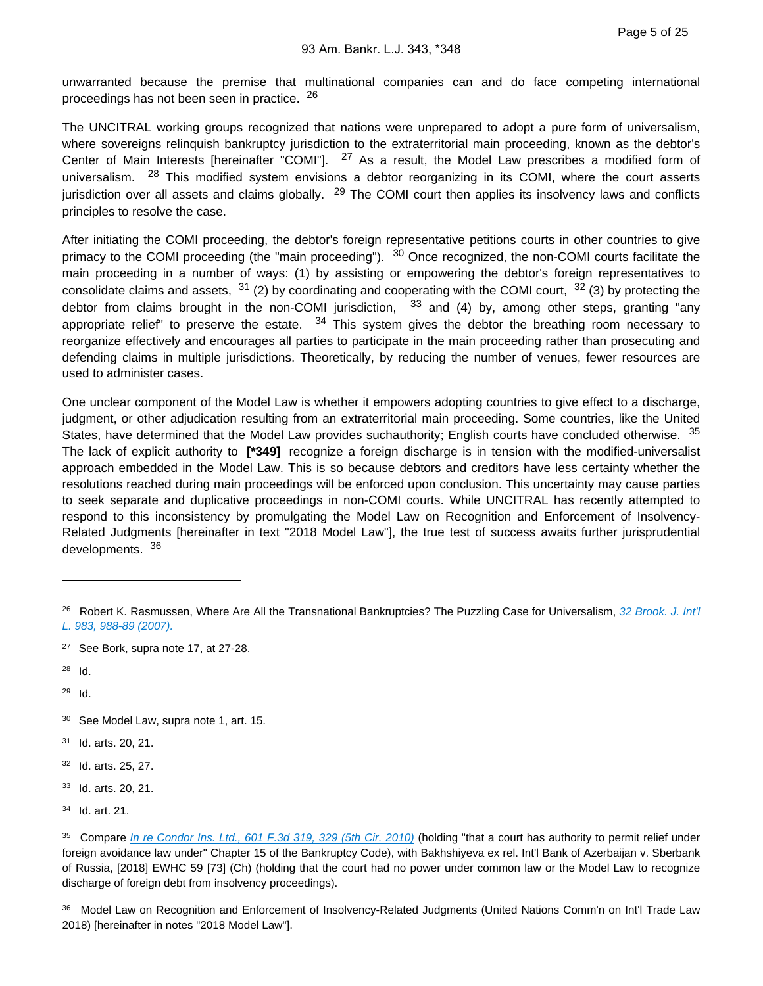unwarranted because the premise that multinational companies can and do face competing international proceedings has not been seen in practice. <sup>26</sup>

The UNCITRAL working groups recognized that nations were unprepared to adopt a pure form of universalism, where sovereigns relinquish bankruptcy jurisdiction to the extraterritorial main proceeding, known as the debtor's Center of Main Interests [hereinafter "COMI"]. <sup>27</sup> As a result, the Model Law prescribes a modified form of universalism. <sup>28</sup> This modified system envisions a debtor reorganizing in its COMI, where the court asserts jurisdiction over all assets and claims globally. <sup>29</sup> The COMI court then applies its insolvency laws and conflicts principles to resolve the case.

After initiating the COMI proceeding, the debtor's foreign representative petitions courts in other countries to give primacy to the COMI proceeding (the "main proceeding"). <sup>30</sup> Once recognized, the non-COMI courts facilitate the main proceeding in a number of ways: (1) by assisting or empowering the debtor's foreign representatives to consolidate claims and assets,  $31$  (2) by coordinating and cooperating with the COMI court,  $32$  (3) by protecting the debtor from claims brought in the non-COMI jurisdiction,  $33$  and (4) by, among other steps, granting "any appropriate relief" to preserve the estate.  $34$  This system gives the debtor the breathing room necessary to reorganize effectively and encourages all parties to participate in the main proceeding rather than prosecuting and defending claims in multiple jurisdictions. Theoretically, by reducing the number of venues, fewer resources are used to administer cases.

One unclear component of the Model Law is whether it empowers adopting countries to give effect to a discharge, judgment, or other adjudication resulting from an extraterritorial main proceeding. Some countries, like the United States, have determined that the Model Law provides suchauthority; English courts have concluded otherwise. <sup>35</sup> The lack of explicit authority to **[\*349]** recognize a foreign discharge is in tension with the modified-universalist approach embedded in the Model Law. This is so because debtors and creditors have less certainty whether the resolutions reached during main proceedings will be enforced upon conclusion. This uncertainty may cause parties to seek separate and duplicative proceedings in non-COMI courts. While UNCITRAL has recently attempted to respond to this inconsistency by promulgating the Model Law on Recognition and Enforcement of Insolvency-Related Judgments [hereinafter in text "2018 Model Law"], the true test of success awaits further jurisprudential developments. 36

- 30 See Model Law, supra note 1, art. 15.
- 31 Id. arts. 20, 21.
- 32 Id. arts. 25, 27.
- 33 Id. arts. 20, 21.

<sup>&</sup>lt;sup>26</sup> Robert K. Rasmussen, Where Are All the Transnational Bankruptcies? The Puzzling Case for Universalism, 32 Brook. J. Int'l [L. 983, 988-89 \(2007\).](https://advance.lexis.com/api/document?collection=analytical-materials&id=urn:contentItem:4R04-F8G0-00CT-X08H-00000-00&context=)

<sup>&</sup>lt;sup>27</sup> See Bork, supra note 17, at 27-28.

 $28$  Id.

 $29$  Id.

<sup>34</sup> Id. art. 21.

<sup>&</sup>lt;sup>35</sup> Compare [In re Condor Ins. Ltd., 601 F.3d 319, 329 \(5th Cir. 2010\)](https://advance.lexis.com/api/document?collection=cases&id=urn:contentItem:7Y1X-F0G0-YB0V-H04K-00000-00&context=) (holding "that a court has authority to permit relief under foreign avoidance law under" Chapter 15 of the Bankruptcy Code), with Bakhshiyeva ex rel. Int'l Bank of Azerbaijan v. Sberbank of Russia, [2018] EWHC 59 [73] (Ch) (holding that the court had no power under common law or the Model Law to recognize discharge of foreign debt from insolvency proceedings).

<sup>36</sup> Model Law on Recognition and Enforcement of Insolvency-Related Judgments (United Nations Comm'n on Int'l Trade Law 2018) [hereinafter in notes "2018 Model Law"].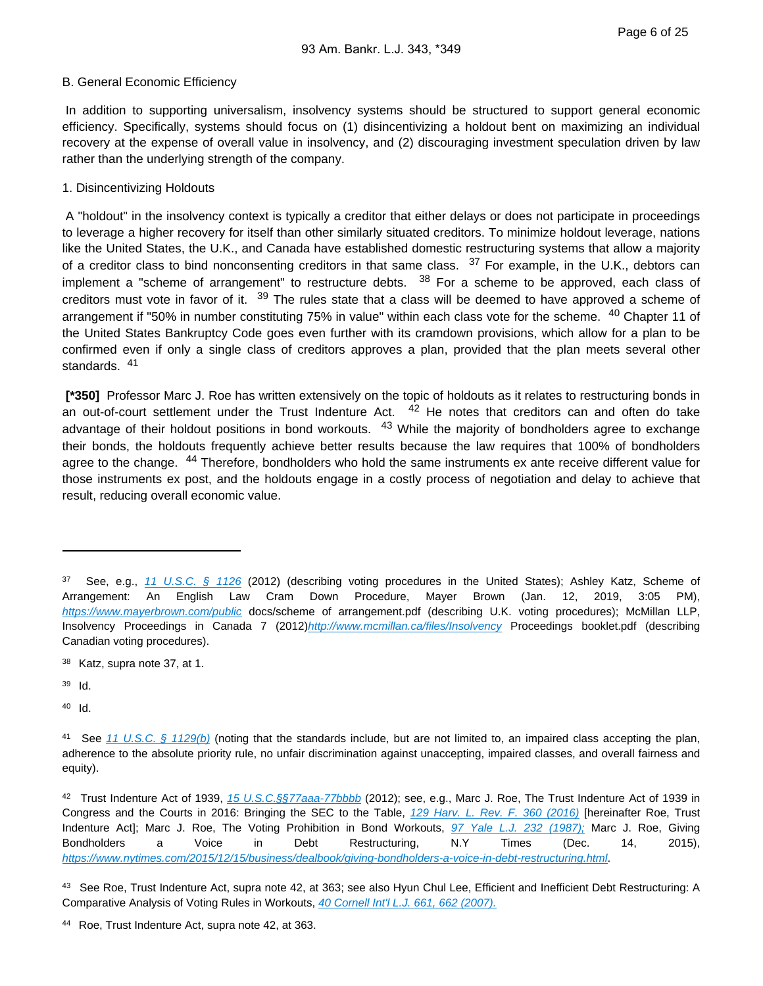#### B. General Economic Efficiency

 In addition to supporting universalism, insolvency systems should be structured to support general economic efficiency. Specifically, systems should focus on (1) disincentivizing a holdout bent on maximizing an individual recovery at the expense of overall value in insolvency, and (2) discouraging investment speculation driven by law rather than the underlying strength of the company.

### 1. Disincentivizing Holdouts

 A "holdout" in the insolvency context is typically a creditor that either delays or does not participate in proceedings to leverage a higher recovery for itself than other similarly situated creditors. To minimize holdout leverage, nations like the United States, the U.K., and Canada have established domestic restructuring systems that allow a majority of a creditor class to bind nonconsenting creditors in that same class.  $37$  For example, in the U.K., debtors can implement a "scheme of arrangement" to restructure debts.  $38$  For a scheme to be approved, each class of creditors must vote in favor of it. <sup>39</sup> The rules state that a class will be deemed to have approved a scheme of arrangement if "50% in number constituting 75% in value" within each class vote for the scheme. <sup>40</sup> Chapter 11 of the United States Bankruptcy Code goes even further with its cramdown provisions, which allow for a plan to be confirmed even if only a single class of creditors approves a plan, provided that the plan meets several other standards. 41

 **[\*350]** Professor Marc J. Roe has written extensively on the topic of holdouts as it relates to restructuring bonds in an out-of-court settlement under the Trust Indenture Act. <sup>42</sup> He notes that creditors can and often do take advantage of their holdout positions in bond workouts. <sup>43</sup> While the majority of bondholders agree to exchange their bonds, the holdouts frequently achieve better results because the law requires that 100% of bondholders agree to the change. <sup>44</sup> Therefore, bondholders who hold the same instruments ex ante receive different value for those instruments ex post, and the holdouts engage in a costly process of negotiation and delay to achieve that result, reducing overall economic value.

<sup>37</sup> See, e.g., 11 U.S.C.  $\S$  1126 (2012) (describing voting procedures in the United States); Ashley Katz, Scheme of Arrangement: An English Law Cram Down Procedure, Mayer Brown (Jan. 12, 2019, 3:05 PM), <https://www.mayerbrown.com/public> docs/scheme of arrangement.pdf (describing U.K. voting procedures); McMillan LLP, Insolvency Proceedings in Canada 7 (2012)<http://www.mcmillan.ca/files/Insolvency> Proceedings booklet.pdf (describing Canadian voting procedures).

<sup>38</sup> Katz, supra note 37, at 1.

<sup>39</sup> Id.

<sup>&</sup>lt;sup>41</sup> See [11 U.S.C. § 1129\(b\)](https://advance.lexis.com/api/document?collection=statutes-legislation&id=urn:contentItem:8S8T-0CK2-8T6X-73RH-00000-00&context=) (noting that the standards include, but are not limited to, an impaired class accepting the plan, adherence to the absolute priority rule, no unfair discrimination against unaccepting, impaired classes, and overall fairness and equity).

<sup>42</sup> Trust Indenture Act of 1939, [15 U.S.C.§§77aaa-77bbbb](https://advance.lexis.com/api/document?collection=statutes-legislation&id=urn:contentItem:8S9D-W4V2-8T6X-7555-00000-00&context=) (2012); see, e.g., Marc J. Roe, The Trust Indenture Act of 1939 in Congress and the Courts in 2016: Bringing the SEC to the Table, [129 Harv. L. Rev. F. 360 \(2016\)](https://advance.lexis.com/api/document?collection=analytical-materials&id=urn:contentItem:5JRX-9CY0-02C9-M0DJ-00000-00&context=) [hereinafter Roe, Trust Indenture Act]; Marc J. Roe, The Voting Prohibition in Bond Workouts, [97 Yale L.J. 232 \(1987\);](https://advance.lexis.com/api/document?collection=analytical-materials&id=urn:contentItem:3S0M-8RX0-00CW-71M3-00000-00&context=) Marc J. Roe, Giving Bondholders a Voice in Debt Restructuring, N.Y Times (Dec. 14, 2015), <https://www.nytimes.com/2015/12/15/business/dealbook/giving-bondholders-a-voice-in-debt-restructuring.html>.

<sup>43</sup> See Roe, Trust Indenture Act, supra note 42, at 363; see also Hyun Chul Lee, Efficient and Inefficient Debt Restructuring: A Comparative Analysis of Voting Rules in Workouts, [40 Cornell Int'l L.J. 661, 662 \(2007\).](https://advance.lexis.com/api/document?collection=analytical-materials&id=urn:contentItem:4R2G-PM20-00CW-C0CM-00000-00&context=)

<sup>44</sup> Roe, Trust Indenture Act, supra note 42, at 363.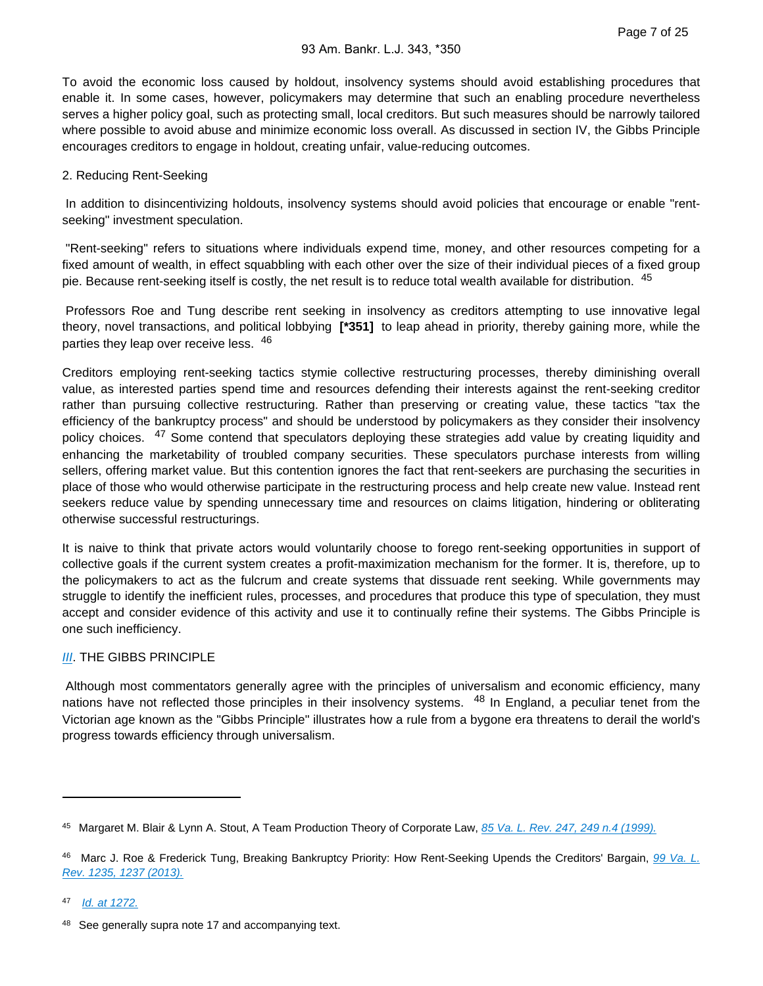To avoid the economic loss caused by holdout, insolvency systems should avoid establishing procedures that enable it. In some cases, however, policymakers may determine that such an enabling procedure nevertheless serves a higher policy goal, such as protecting small, local creditors. But such measures should be narrowly tailored where possible to avoid abuse and minimize economic loss overall. As discussed in section IV, the Gibbs Principle encourages creditors to engage in holdout, creating unfair, value-reducing outcomes.

#### 2. Reducing Rent-Seeking

 In addition to disincentivizing holdouts, insolvency systems should avoid policies that encourage or enable "rentseeking" investment speculation.

 "Rent-seeking" refers to situations where individuals expend time, money, and other resources competing for a fixed amount of wealth, in effect squabbling with each other over the size of their individual pieces of a fixed group pie. Because rent-seeking itself is costly, the net result is to reduce total wealth available for distribution. <sup>45</sup>

 Professors Roe and Tung describe rent seeking in insolvency as creditors attempting to use innovative legal theory, novel transactions, and political lobbying **[\*351]** to leap ahead in priority, thereby gaining more, while the parties they leap over receive less. 46

Creditors employing rent-seeking tactics stymie collective restructuring processes, thereby diminishing overall value, as interested parties spend time and resources defending their interests against the rent-seeking creditor rather than pursuing collective restructuring. Rather than preserving or creating value, these tactics "tax the efficiency of the bankruptcy process" and should be understood by policymakers as they consider their insolvency policy choices. <sup>47</sup> Some contend that speculators deploying these strategies add value by creating liquidity and enhancing the marketability of troubled company securities. These speculators purchase interests from willing sellers, offering market value. But this contention ignores the fact that rent-seekers are purchasing the securities in place of those who would otherwise participate in the restructuring process and help create new value. Instead rent seekers reduce value by spending unnecessary time and resources on claims litigation, hindering or obliterating otherwise successful restructurings.

It is naive to think that private actors would voluntarily choose to forego rent-seeking opportunities in support of collective goals if the current system creates a profit-maximization mechanism for the former. It is, therefore, up to the policymakers to act as the fulcrum and create systems that dissuade rent seeking. While governments may struggle to identify the inefficient rules, processes, and procedures that produce this type of speculation, they must accept and consider evidence of this activity and use it to continually refine their systems. The Gibbs Principle is one such inefficiency.

### **[III](https://advance.lexis.com/api/document?collection=statutes-legislation&id=urn:contentItem:8T9R-T372-8T6X-731R-00000-00&context=). THE GIBBS PRINCIPLE**

 Although most commentators generally agree with the principles of universalism and economic efficiency, many nations have not reflected those principles in their insolvency systems. <sup>48</sup> In England, a peculiar tenet from the Victorian age known as the "Gibbs Principle" illustrates how a rule from a bygone era threatens to derail the world's progress towards efficiency through universalism.

47 <u>[Id. at 1272.](https://advance.lexis.com/api/document?collection=analytical-materials&id=urn:contentItem:59JM-MBG0-02BM-Y13C-00000-00&context=)</u>

<sup>45</sup> Margaret M. Blair & Lynn A. Stout, A Team Production Theory of Corporate Law, [85 Va. L. Rev. 247, 249 n.4 \(1999\).](https://advance.lexis.com/api/document?collection=analytical-materials&id=urn:contentItem:3WGY-4N30-00CV-509C-00000-00&context=)

<sup>46</sup> Marc J. Roe & Frederick Tung, Breaking Bankruptcy Priority: How Rent-Seeking Upends the Creditors' Bargain, 99 Va. L. [Rev. 1235, 1237 \(2013\).](https://advance.lexis.com/api/document?collection=analytical-materials&id=urn:contentItem:59JM-MBG0-02BM-Y13C-00000-00&context=)

<sup>48</sup> See generally supra note 17 and accompanying text.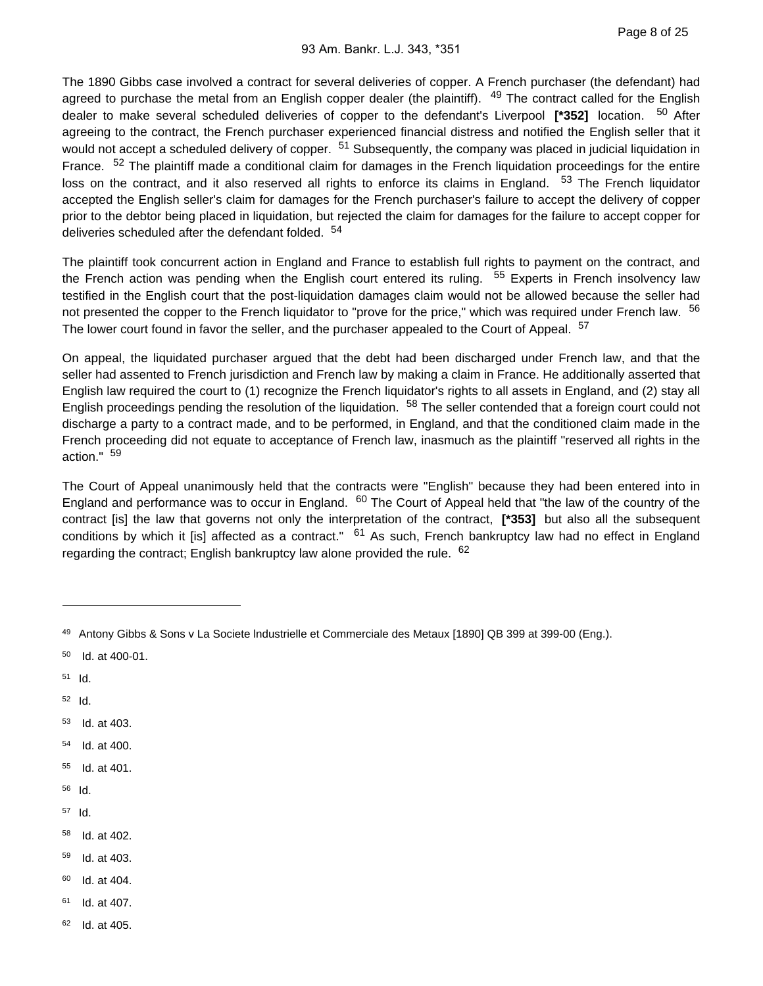The 1890 Gibbs case involved a contract for several deliveries of copper. A French purchaser (the defendant) had agreed to purchase the metal from an English copper dealer (the plaintiff). <sup>49</sup> The contract called for the English dealer to make several scheduled deliveries of copper to the defendant's Liverpool **[\*352]** location. 50 After agreeing to the contract, the French purchaser experienced financial distress and notified the English seller that it would not accept a scheduled delivery of copper. <sup>51</sup> Subsequently, the company was placed in judicial liquidation in France. <sup>52</sup> The plaintiff made a conditional claim for damages in the French liquidation proceedings for the entire loss on the contract, and it also reserved all rights to enforce its claims in England. <sup>53</sup> The French liquidator accepted the English seller's claim for damages for the French purchaser's failure to accept the delivery of copper prior to the debtor being placed in liquidation, but rejected the claim for damages for the failure to accept copper for deliveries scheduled after the defendant folded. <sup>54</sup>

The plaintiff took concurrent action in England and France to establish full rights to payment on the contract, and the French action was pending when the English court entered its ruling.  $55$  Experts in French insolvency law testified in the English court that the post-liquidation damages claim would not be allowed because the seller had not presented the copper to the French liquidator to "prove for the price," which was required under French law. <sup>56</sup> The lower court found in favor the seller, and the purchaser appealed to the Court of Appeal. <sup>57</sup>

On appeal, the liquidated purchaser argued that the debt had been discharged under French law, and that the seller had assented to French jurisdiction and French law by making a claim in France. He additionally asserted that English law required the court to (1) recognize the French liquidator's rights to all assets in England, and (2) stay all English proceedings pending the resolution of the liquidation. <sup>58</sup> The seller contended that a foreign court could not discharge a party to a contract made, and to be performed, in England, and that the conditioned claim made in the French proceeding did not equate to acceptance of French law, inasmuch as the plaintiff "reserved all rights in the action." <sup>59</sup>

The Court of Appeal unanimously held that the contracts were "English" because they had been entered into in England and performance was to occur in England. <sup>60</sup> The Court of Appeal held that "the law of the country of the contract [is] the law that governs not only the interpretation of the contract, **[\*353]** but also all the subsequent conditions by which it [is] affected as a contract."  $61$  As such, French bankruptcy law had no effect in England regarding the contract; English bankruptcy law alone provided the rule. <sup>62</sup>

- $50$  Id. at 400-01.
- $51$  Id.
- $52$  Id.
- $53$  Id. at 403.
- 54 Id. at 400.
- 55 Id. at 401.
- 56 Id.
- $57$  Id.
- 58 Id. at 402.
- 59 Id. at 403.
- $60$  Id. at 404.
- $61$  Id. at 407.
- $62$  Id. at 405.

<sup>49</sup> Antony Gibbs & Sons v La Societe Industrielle et Commerciale des Metaux [1890] QB 399 at 399-00 (Eng.).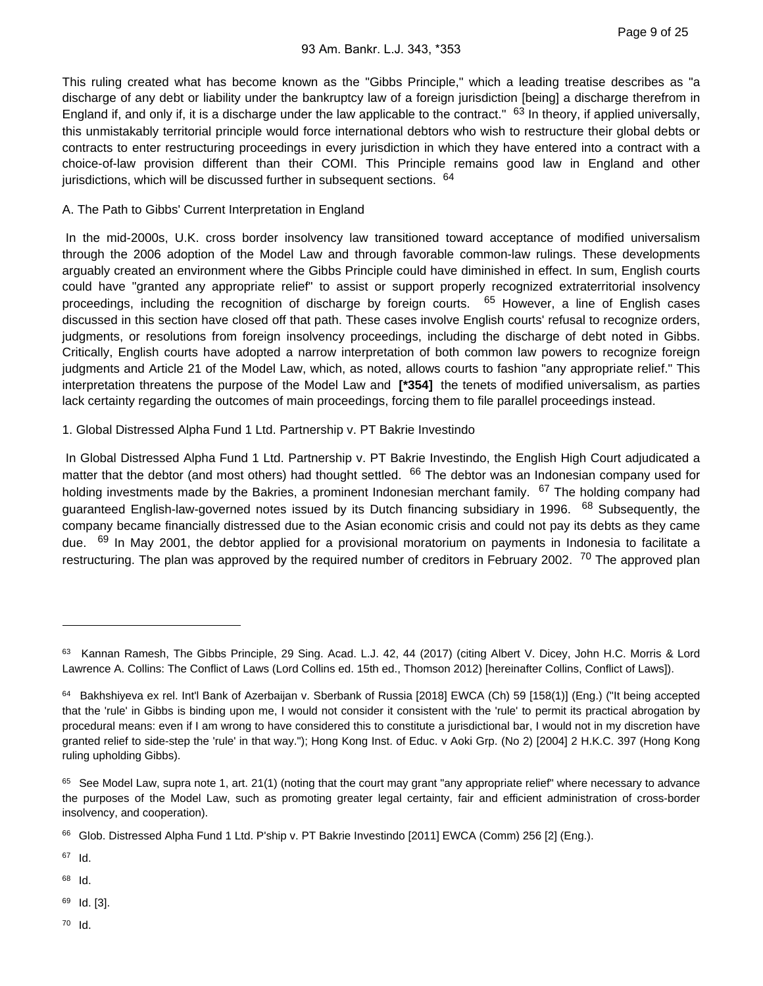This ruling created what has become known as the "Gibbs Principle," which a leading treatise describes as "a discharge of any debt or liability under the bankruptcy law of a foreign jurisdiction [being] a discharge therefrom in England if, and only if, it is a discharge under the law applicable to the contract." <sup>63</sup> In theory, if applied universally, this unmistakably territorial principle would force international debtors who wish to restructure their global debts or contracts to enter restructuring proceedings in every jurisdiction in which they have entered into a contract with a choice-of-law provision different than their COMI. This Principle remains good law in England and other jurisdictions, which will be discussed further in subsequent sections. <sup>64</sup>

#### A. The Path to Gibbs' Current Interpretation in England

 In the mid-2000s, U.K. cross border insolvency law transitioned toward acceptance of modified universalism through the 2006 adoption of the Model Law and through favorable common-law rulings. These developments arguably created an environment where the Gibbs Principle could have diminished in effect. In sum, English courts could have "granted any appropriate relief" to assist or support properly recognized extraterritorial insolvency proceedings, including the recognition of discharge by foreign courts. <sup>65</sup> However, a line of English cases discussed in this section have closed off that path. These cases involve English courts' refusal to recognize orders, judgments, or resolutions from foreign insolvency proceedings, including the discharge of debt noted in Gibbs. Critically, English courts have adopted a narrow interpretation of both common law powers to recognize foreign judgments and Article 21 of the Model Law, which, as noted, allows courts to fashion "any appropriate relief." This interpretation threatens the purpose of the Model Law and **[\*354]** the tenets of modified universalism, as parties lack certainty regarding the outcomes of main proceedings, forcing them to file parallel proceedings instead.

#### 1. Global Distressed Alpha Fund 1 Ltd. Partnership v. PT Bakrie Investindo

 In Global Distressed Alpha Fund 1 Ltd. Partnership v. PT Bakrie Investindo, the English High Court adjudicated a matter that the debtor (and most others) had thought settled. <sup>66</sup> The debtor was an Indonesian company used for holding investments made by the Bakries, a prominent Indonesian merchant family. <sup>67</sup> The holding company had guaranteed English-law-governed notes issued by its Dutch financing subsidiary in 1996. <sup>68</sup> Subsequently, the company became financially distressed due to the Asian economic crisis and could not pay its debts as they came due. <sup>69</sup> In May 2001, the debtor applied for a provisional moratorium on payments in Indonesia to facilitate a restructuring. The plan was approved by the required number of creditors in February 2002. <sup>70</sup> The approved plan

67 Id.

68 Id.

69 Id. [3].

<sup>63</sup> Kannan Ramesh, The Gibbs Principle, 29 Sing. Acad. L.J. 42, 44 (2017) (citing Albert V. Dicey, John H.C. Morris & Lord Lawrence A. Collins: The Conflict of Laws (Lord Collins ed. 15th ed., Thomson 2012) [hereinafter Collins, Conflict of Laws]).

<sup>64</sup> Bakhshiyeva ex rel. Int'l Bank of Azerbaijan v. Sberbank of Russia [2018] EWCA (Ch) 59 [158(1)] (Eng.) ("It being accepted that the 'rule' in Gibbs is binding upon me, I would not consider it consistent with the 'rule' to permit its practical abrogation by procedural means: even if I am wrong to have considered this to constitute a jurisdictional bar, I would not in my discretion have granted relief to side-step the 'rule' in that way."); Hong Kong Inst. of Educ. v Aoki Grp. (No 2) [2004] 2 H.K.C. 397 (Hong Kong ruling upholding Gibbs).

 $65$  See Model Law, supra note 1, art. 21(1) (noting that the court may grant "any appropriate relief" where necessary to advance the purposes of the Model Law, such as promoting greater legal certainty, fair and efficient administration of cross-border insolvency, and cooperation).

<sup>66</sup> Glob. Distressed Alpha Fund 1 Ltd. P'ship v. PT Bakrie Investindo [2011] EWCA (Comm) 256 [2] (Eng.).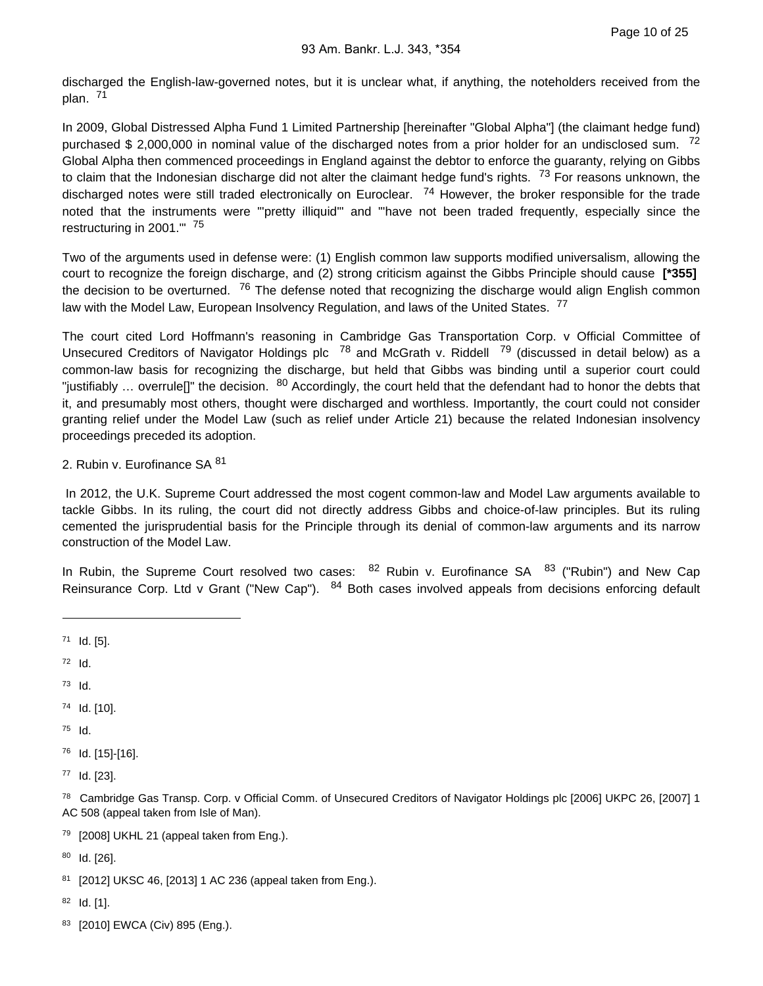discharged the English-law-governed notes, but it is unclear what, if anything, the noteholders received from the plan. <sup>71</sup>

In 2009, Global Distressed Alpha Fund 1 Limited Partnership [hereinafter "Global Alpha"] (the claimant hedge fund) purchased \$ 2,000,000 in nominal value of the discharged notes from a prior holder for an undisclosed sum. <sup>72</sup> Global Alpha then commenced proceedings in England against the debtor to enforce the guaranty, relying on Gibbs to claim that the Indonesian discharge did not alter the claimant hedge fund's rights. <sup>73</sup> For reasons unknown, the discharged notes were still traded electronically on Euroclear.  $74$  However, the broker responsible for the trade noted that the instruments were "'pretty illiquid'" and "'have not been traded frequently, especially since the restructuring in 2001.'" <sup>75</sup>

Two of the arguments used in defense were: (1) English common law supports modified universalism, allowing the court to recognize the foreign discharge, and (2) strong criticism against the Gibbs Principle should cause **[\*355]**  the decision to be overturned. <sup>76</sup> The defense noted that recognizing the discharge would align English common law with the Model Law, European Insolvency Regulation, and laws of the United States. <sup>77</sup>

The court cited Lord Hoffmann's reasoning in Cambridge Gas Transportation Corp. v Official Committee of Unsecured Creditors of Navigator Holdings plc <sup>78</sup> and McGrath v. Riddell <sup>79</sup> (discussed in detail below) as a common-law basis for recognizing the discharge, but held that Gibbs was binding until a superior court could "justifiably ... overrule[]" the decision.  $80$  Accordingly, the court held that the defendant had to honor the debts that it, and presumably most others, thought were discharged and worthless. Importantly, the court could not consider granting relief under the Model Law (such as relief under Article 21) because the related Indonesian insolvency proceedings preceded its adoption.

2. Rubin v. Eurofinance SA 81

 In 2012, the U.K. Supreme Court addressed the most cogent common-law and Model Law arguments available to tackle Gibbs. In its ruling, the court did not directly address Gibbs and choice-of-law principles. But its ruling cemented the jurisprudential basis for the Principle through its denial of common-law arguments and its narrow construction of the Model Law.

In Rubin, the Supreme Court resolved two cases: <sup>82</sup> Rubin v. Eurofinance SA <sup>83</sup> ("Rubin") and New Cap Reinsurance Corp. Ltd v Grant ("New Cap"). <sup>84</sup> Both cases involved appeals from decisions enforcing default

 $72$  Id.

 $73$  Id.

74 Id. [10].

- $75$  Id.
- <sup>76</sup> Id. [15]-[16].

77 Id. [23].

78 Cambridge Gas Transp. Corp. v Official Comm. of Unsecured Creditors of Navigator Holdings plc [2006] UKPC 26, [2007] 1 AC 508 (appeal taken from Isle of Man).

<sup>79</sup> [2008] UKHL 21 (appeal taken from Eng.).

 $80$  Id. [26].

81 [2012] UKSC 46, [2013] 1 AC 236 (appeal taken from Eng.).

 $82$  Id. [1].

83 [2010] EWCA (Civ) 895 (Eng.).

 $71$  Id. [5].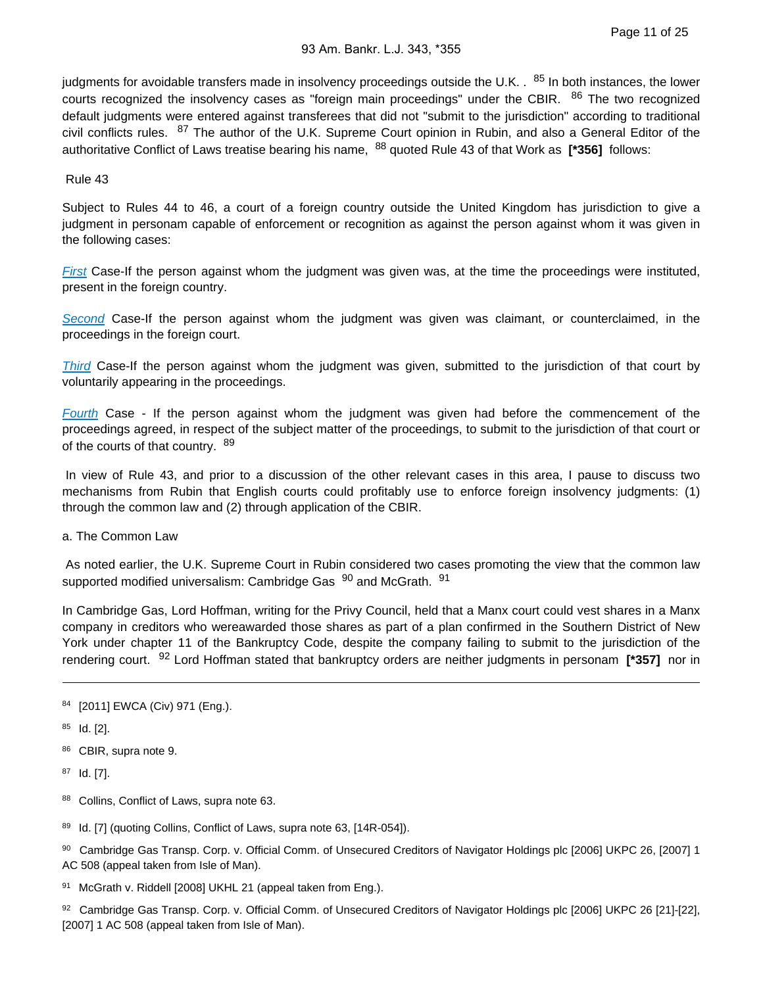judgments for avoidable transfers made in insolvency proceedings outside the U.K. . <sup>85</sup> In both instances, the lower courts recognized the insolvency cases as "foreign main proceedings" under the CBIR. <sup>86</sup> The two recognized default judgments were entered against transferees that did not "submit to the jurisdiction" according to traditional civil conflicts rules. <sup>87</sup> The author of the U.K. Supreme Court opinion in Rubin, and also a General Editor of the authoritative Conflict of Laws treatise bearing his name, 88 quoted Rule 43 of that Work as **[\*356]** follows:

Rule 43

Subject to Rules 44 to 46, a court of a foreign country outside the United Kingdom has jurisdiction to give a judgment in personam capable of enforcement or recognition as against the person against whom it was given in the following cases:

[First](https://advance.lexis.com/api/document?collection=statutes-legislation&id=urn:contentItem:8T9R-T2X2-D6RV-H374-00000-00&context=) Case-If the person against whom the judgment was given was, at the time the proceedings were instituted, present in the foreign country.

[Second](https://advance.lexis.com/api/document?collection=statutes-legislation&id=urn:contentItem:8T9R-T352-D6RV-H379-00000-00&context=) Case-If the person against whom the judgment was given was claimant, or counterclaimed, in the proceedings in the foreign court.

[Third](https://advance.lexis.com/api/document?collection=statutes-legislation&id=urn:contentItem:8T9R-T372-8T6X-731R-00000-00&context=) Case-If the person against whom the judgment was given, submitted to the jurisdiction of that court by voluntarily appearing in the proceedings.

[Fourth](https://advance.lexis.com/api/document?collection=statutes-legislation&id=urn:contentItem:8T9R-T3H2-D6RV-H37G-00000-00&context=) Case - If the person against whom the judgment was given had before the commencement of the proceedings agreed, in respect of the subject matter of the proceedings, to submit to the jurisdiction of that court or of the courts of that country. 89

 In view of Rule 43, and prior to a discussion of the other relevant cases in this area, I pause to discuss two mechanisms from Rubin that English courts could profitably use to enforce foreign insolvency judgments: (1) through the common law and (2) through application of the CBIR.

a. The Common Law

 As noted earlier, the U.K. Supreme Court in Rubin considered two cases promoting the view that the common law supported modified universalism: Cambridge Gas <sup>90</sup> and McGrath. <sup>91</sup>

In Cambridge Gas, Lord Hoffman, writing for the Privy Council, held that a Manx court could vest shares in a Manx company in creditors who wereawarded those shares as part of a plan confirmed in the Southern District of New York under chapter 11 of the Bankruptcy Code, despite the company failing to submit to the jurisdiction of the rendering court. 92 Lord Hoffman stated that bankruptcy orders are neither judgments in personam **[\*357]** nor in

 $85$  Id. [2].

86 CBIR, supra note 9.

87 Id. [7].

- 88 Collins, Conflict of Laws, supra note 63.
- 89 Id. [7] (quoting Collins, Conflict of Laws, supra note 63, [14R-054]).
- 90 Cambridge Gas Transp. Corp. v. Official Comm. of Unsecured Creditors of Navigator Holdings plc [2006] UKPC 26, [2007] 1 AC 508 (appeal taken from Isle of Man).
- 91 McGrath v. Riddell [2008] UKHL 21 (appeal taken from Eng.).
- 92 Cambridge Gas Transp. Corp. v. Official Comm. of Unsecured Creditors of Navigator Holdings plc [2006] UKPC 26 [21]-[22], [2007] 1 AC 508 (appeal taken from Isle of Man).

<sup>84 [2011]</sup> EWCA (Civ) 971 (Eng.).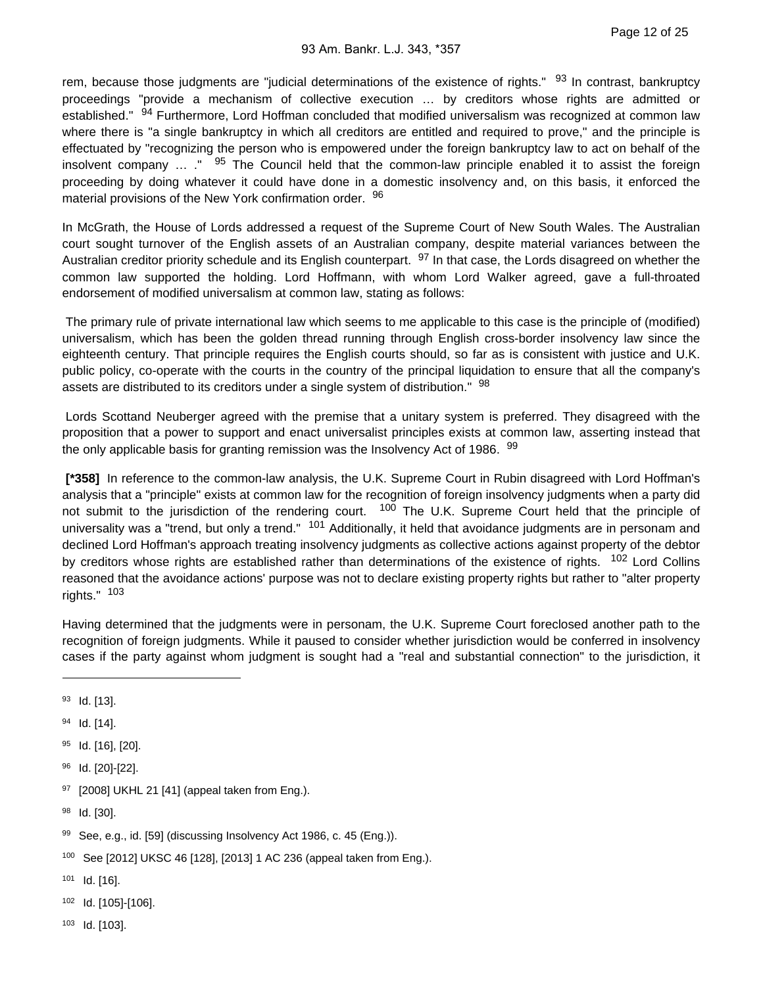rem, because those judgments are "judicial determinations of the existence of rights." <sup>93</sup> In contrast, bankruptcy proceedings "provide a mechanism of collective execution … by creditors whose rights are admitted or established." <sup>94</sup> Furthermore, Lord Hoffman concluded that modified universalism was recognized at common law where there is "a single bankruptcy in which all creditors are entitled and required to prove," and the principle is effectuated by "recognizing the person who is empowered under the foreign bankruptcy law to act on behalf of the insolvent company  $\ldots$  ." <sup>95</sup> The Council held that the common-law principle enabled it to assist the foreign proceeding by doing whatever it could have done in a domestic insolvency and, on this basis, it enforced the material provisions of the New York confirmation order. 96

In McGrath, the House of Lords addressed a request of the Supreme Court of New South Wales. The Australian court sought turnover of the English assets of an Australian company, despite material variances between the Australian creditor priority schedule and its English counterpart. <sup>97</sup> In that case, the Lords disagreed on whether the common law supported the holding. Lord Hoffmann, with whom Lord Walker agreed, gave a full-throated endorsement of modified universalism at common law, stating as follows:

 The primary rule of private international law which seems to me applicable to this case is the principle of (modified) universalism, which has been the golden thread running through English cross-border insolvency law since the eighteenth century. That principle requires the English courts should, so far as is consistent with justice and U.K. public policy, co-operate with the courts in the country of the principal liquidation to ensure that all the company's assets are distributed to its creditors under a single system of distribution." <sup>98</sup>

 Lords Scottand Neuberger agreed with the premise that a unitary system is preferred. They disagreed with the proposition that a power to support and enact universalist principles exists at common law, asserting instead that the only applicable basis for granting remission was the Insolvency Act of 1986. <sup>99</sup>

 **[\*358]** In reference to the common-law analysis, the U.K. Supreme Court in Rubin disagreed with Lord Hoffman's analysis that a "principle" exists at common law for the recognition of foreign insolvency judgments when a party did not submit to the jurisdiction of the rendering court. <sup>100</sup> The U.K. Supreme Court held that the principle of universality was a "trend, but only a trend." <sup>101</sup> Additionally, it held that avoidance judgments are in personam and declined Lord Hoffman's approach treating insolvency judgments as collective actions against property of the debtor by creditors whose rights are established rather than determinations of the existence of rights. <sup>102</sup> Lord Collins reasoned that the avoidance actions' purpose was not to declare existing property rights but rather to "alter property rights." <sup>103</sup>

Having determined that the judgments were in personam, the U.K. Supreme Court foreclosed another path to the recognition of foreign judgments. While it paused to consider whether jurisdiction would be conferred in insolvency cases if the party against whom judgment is sought had a "real and substantial connection" to the jurisdiction, it

- 96 Id. [20]-[22].
- 97 [2008] UKHL 21 [41] (appeal taken from Eng.).
- 98 Id. [30].

- 100 See [2012] UKSC 46 [128], [2013] 1 AC 236 (appeal taken from Eng.).
- $101$  Id. [16].
- 102 Id. [105]-[106].
- $103$  Id. [103].

<sup>93</sup> Id. [13].

<sup>94</sup> Id. [14].

<sup>95</sup> Id. [16], [20].

<sup>99</sup> See, e.g., id. [59] (discussing Insolvency Act 1986, c. 45 (Eng.)).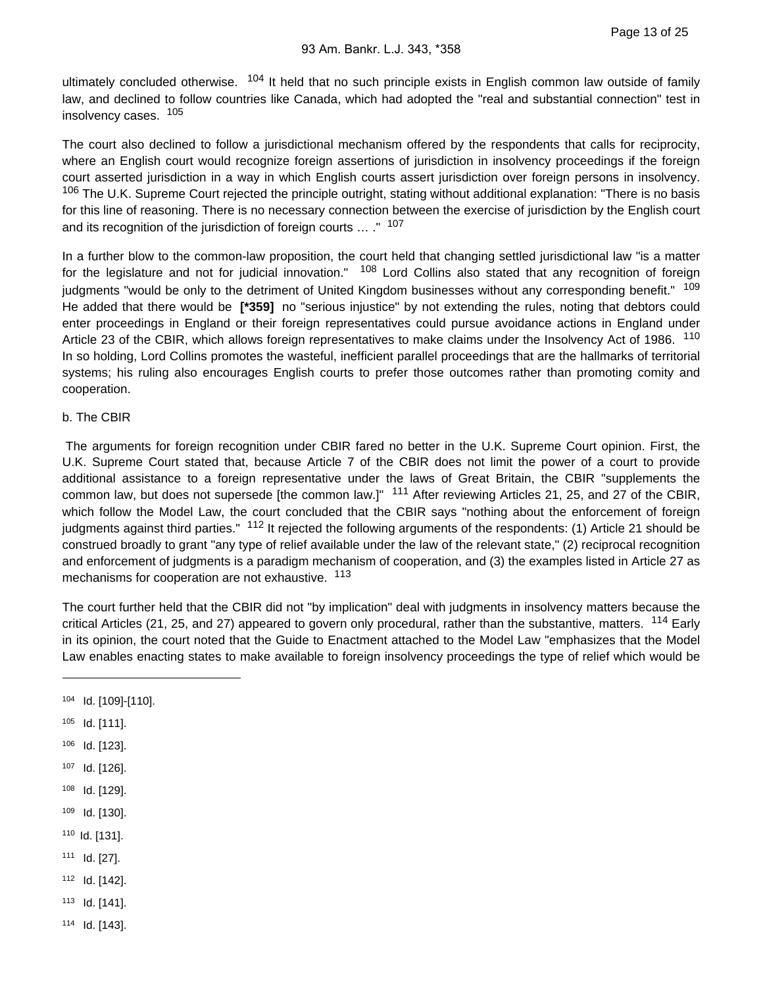ultimately concluded otherwise. <sup>104</sup> It held that no such principle exists in English common law outside of family law, and declined to follow countries like Canada, which had adopted the "real and substantial connection" test in insolvency cases. <sup>105</sup>

The court also declined to follow a jurisdictional mechanism offered by the respondents that calls for reciprocity, where an English court would recognize foreign assertions of jurisdiction in insolvency proceedings if the foreign court asserted jurisdiction in a way in which English courts assert jurisdiction over foreign persons in insolvency. 106 The U.K. Supreme Court rejected the principle outright, stating without additional explanation: "There is no basis for this line of reasoning. There is no necessary connection between the exercise of jurisdiction by the English court and its recognition of the jurisdiction of foreign courts … ." <sup>107</sup>

In a further blow to the common-law proposition, the court held that changing settled jurisdictional law "is a matter for the legislature and not for judicial innovation." <sup>108</sup> Lord Collins also stated that any recognition of foreign judgments "would be only to the detriment of United Kingdom businesses without any corresponding benefit." <sup>109</sup> He added that there would be **[\*359]** no "serious injustice" by not extending the rules, noting that debtors could enter proceedings in England or their foreign representatives could pursue avoidance actions in England under Article 23 of the CBIR, which allows foreign representatives to make claims under the Insolvency Act of 1986. <sup>110</sup> In so holding, Lord Collins promotes the wasteful, inefficient parallel proceedings that are the hallmarks of territorial systems; his ruling also encourages English courts to prefer those outcomes rather than promoting comity and cooperation.

### b. The CBIR

 The arguments for foreign recognition under CBIR fared no better in the U.K. Supreme Court opinion. First, the U.K. Supreme Court stated that, because Article 7 of the CBIR does not limit the power of a court to provide additional assistance to a foreign representative under the laws of Great Britain, the CBIR "supplements the common law, but does not supersede [the common law.]" <sup>111</sup> After reviewing Articles 21, 25, and 27 of the CBIR, which follow the Model Law, the court concluded that the CBIR says "nothing about the enforcement of foreign judgments against third parties." <sup>112</sup> It rejected the following arguments of the respondents: (1) Article 21 should be construed broadly to grant "any type of relief available under the law of the relevant state," (2) reciprocal recognition and enforcement of judgments is a paradigm mechanism of cooperation, and (3) the examples listed in Article 27 as mechanisms for cooperation are not exhaustive. <sup>113</sup>

The court further held that the CBIR did not "by implication" deal with judgments in insolvency matters because the critical Articles (21, 25, and 27) appeared to govern only procedural, rather than the substantive, matters. <sup>114</sup> Early in its opinion, the court noted that the Guide to Enactment attached to the Model Law "emphasizes that the Model Law enables enacting states to make available to foreign insolvency proceedings the type of relief which would be

- 106 Id. [123].
- 107 Id. [126].
- 108 Id. [129].
- 109 Id. [130].
- 110 Id. [131].
- $111$  Id. [27].
- 112 **Id.** [142].
- 113 **Id.** [141].
- $114$  Id. [143].

<sup>104</sup> Id. [109]-[110].

 $105$  Id. [111].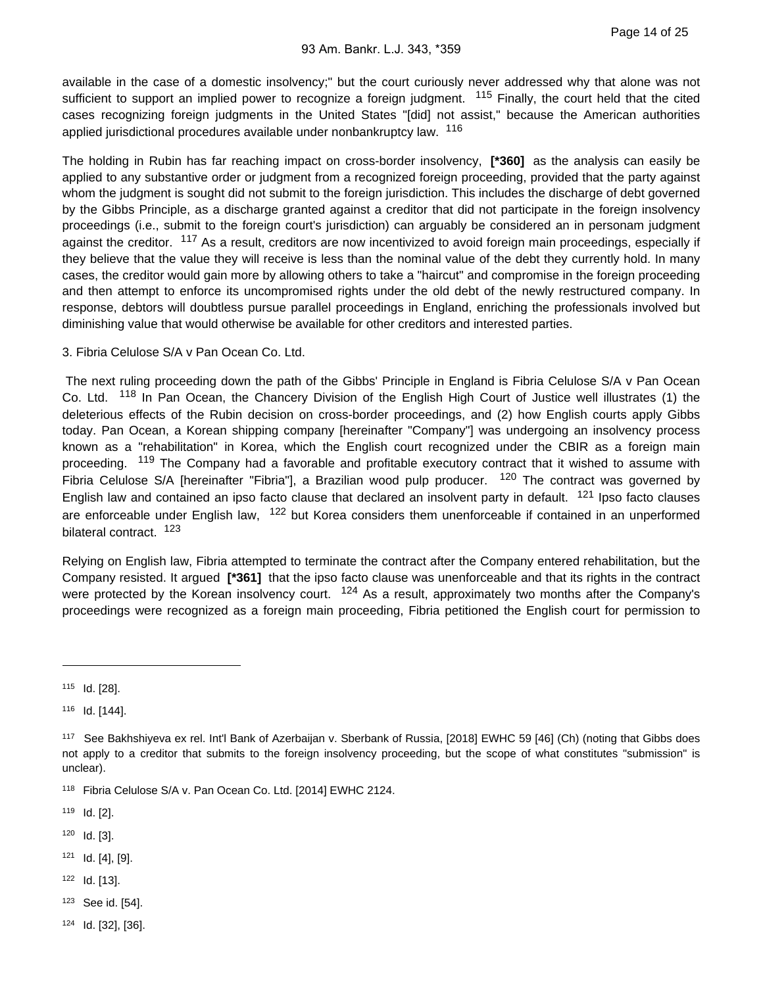Page 14 of 25

available in the case of a domestic insolvency;" but the court curiously never addressed why that alone was not sufficient to support an implied power to recognize a foreign judgment. <sup>115</sup> Finally, the court held that the cited cases recognizing foreign judgments in the United States "[did] not assist," because the American authorities applied jurisdictional procedures available under nonbankruptcy law. <sup>116</sup>

The holding in Rubin has far reaching impact on cross-border insolvency, **[\*360]** as the analysis can easily be applied to any substantive order or judgment from a recognized foreign proceeding, provided that the party against whom the judgment is sought did not submit to the foreign jurisdiction. This includes the discharge of debt governed by the Gibbs Principle, as a discharge granted against a creditor that did not participate in the foreign insolvency proceedings (i.e., submit to the foreign court's jurisdiction) can arguably be considered an in personam judgment against the creditor. <sup>117</sup> As a result, creditors are now incentivized to avoid foreign main proceedings, especially if they believe that the value they will receive is less than the nominal value of the debt they currently hold. In many cases, the creditor would gain more by allowing others to take a "haircut" and compromise in the foreign proceeding and then attempt to enforce its uncompromised rights under the old debt of the newly restructured company. In response, debtors will doubtless pursue parallel proceedings in England, enriching the professionals involved but diminishing value that would otherwise be available for other creditors and interested parties.

3. Fibria Celulose S/A v Pan Ocean Co. Ltd.

 The next ruling proceeding down the path of the Gibbs' Principle in England is Fibria Celulose S/A v Pan Ocean Co. Ltd. 118 In Pan Ocean, the Chancery Division of the English High Court of Justice well illustrates (1) the deleterious effects of the Rubin decision on cross-border proceedings, and (2) how English courts apply Gibbs today. Pan Ocean, a Korean shipping company [hereinafter "Company"] was undergoing an insolvency process known as a "rehabilitation" in Korea, which the English court recognized under the CBIR as a foreign main proceeding. <sup>119</sup> The Company had a favorable and profitable executory contract that it wished to assume with Fibria Celulose S/A [hereinafter "Fibria"], a Brazilian wood pulp producer. <sup>120</sup> The contract was governed by English law and contained an ipso facto clause that declared an insolvent party in default. <sup>121</sup> Ipso facto clauses are enforceable under English law, <sup>122</sup> but Korea considers them unenforceable if contained in an unperformed bilateral contract. <sup>123</sup>

Relying on English law, Fibria attempted to terminate the contract after the Company entered rehabilitation, but the Company resisted. It argued **[\*361]** that the ipso facto clause was unenforceable and that its rights in the contract were protected by the Korean insolvency court.  $124$  As a result, approximately two months after the Company's proceedings were recognized as a foreign main proceeding, Fibria petitioned the English court for permission to

- $120$  Id. [3].
- $121$  Id. [4], [9].
- $122$  Id. [13].
- 123 See id. [54].
- $124$  Id. [32], [36].

<sup>115</sup> Id. [28].

<sup>116</sup> **Id.** [144].

<sup>117</sup> See Bakhshiyeva ex rel. Int'l Bank of Azerbaijan v. Sberbank of Russia, [2018] EWHC 59 [46] (Ch) (noting that Gibbs does not apply to a creditor that submits to the foreign insolvency proceeding, but the scope of what constitutes "submission" is unclear).

<sup>118</sup> Fibria Celulose S/A v. Pan Ocean Co. Ltd. [2014] EWHC 2124.

 $119$  Id. [2].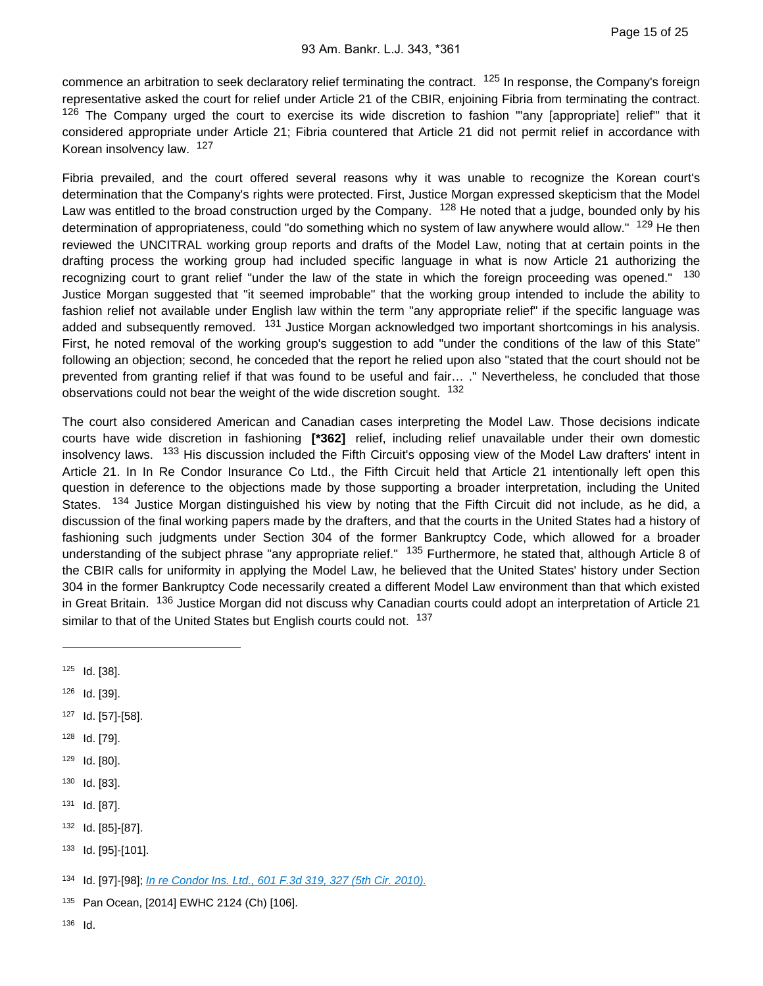commence an arbitration to seek declaratory relief terminating the contract. <sup>125</sup> In response, the Company's foreign representative asked the court for relief under Article 21 of the CBIR, enjoining Fibria from terminating the contract. <sup>126</sup> The Company urged the court to exercise its wide discretion to fashion "any [appropriate] relief" that it considered appropriate under Article 21; Fibria countered that Article 21 did not permit relief in accordance with Korean insolvency law. <sup>127</sup>

Fibria prevailed, and the court offered several reasons why it was unable to recognize the Korean court's determination that the Company's rights were protected. First, Justice Morgan expressed skepticism that the Model Law was entitled to the broad construction urged by the Company. <sup>128</sup> He noted that a judge, bounded only by his determination of appropriateness, could "do something which no system of law anywhere would allow." <sup>129</sup> He then reviewed the UNCITRAL working group reports and drafts of the Model Law, noting that at certain points in the drafting process the working group had included specific language in what is now Article 21 authorizing the recognizing court to grant relief "under the law of the state in which the foreign proceeding was opened." <sup>130</sup> Justice Morgan suggested that "it seemed improbable" that the working group intended to include the ability to fashion relief not available under English law within the term "any appropriate relief" if the specific language was added and subsequently removed. <sup>131</sup> Justice Morgan acknowledged two important shortcomings in his analysis. First, he noted removal of the working group's suggestion to add "under the conditions of the law of this State" following an objection; second, he conceded that the report he relied upon also "stated that the court should not be prevented from granting relief if that was found to be useful and fair… ." Nevertheless, he concluded that those observations could not bear the weight of the wide discretion sought. <sup>132</sup>

The court also considered American and Canadian cases interpreting the Model Law. Those decisions indicate courts have wide discretion in fashioning **[\*362]** relief, including relief unavailable under their own domestic insolvency laws. 133 His discussion included the Fifth Circuit's opposing view of the Model Law drafters' intent in Article 21. In In Re Condor Insurance Co Ltd., the Fifth Circuit held that Article 21 intentionally left open this question in deference to the objections made by those supporting a broader interpretation, including the United States. <sup>134</sup> Justice Morgan distinguished his view by noting that the Fifth Circuit did not include, as he did, a discussion of the final working papers made by the drafters, and that the courts in the United States had a history of fashioning such judgments under Section 304 of the former Bankruptcy Code, which allowed for a broader understanding of the subject phrase "any appropriate relief." <sup>135</sup> Furthermore, he stated that, although Article 8 of the CBIR calls for uniformity in applying the Model Law, he believed that the United States' history under Section 304 in the former Bankruptcy Code necessarily created a different Model Law environment than that which existed in Great Britain. <sup>136</sup> Justice Morgan did not discuss why Canadian courts could adopt an interpretation of Article 21 similar to that of the United States but English courts could not. 137

- 126 Id. [39].
- 127 Id. [57]-[58].
- 128 Id. [79].
- 129 Id. [80].
- $130$  Id. [83].
- 131 **Id.** [87].
- 132 Id. [85]-[87].
- 133 Id. [95]-[101].

134 Id. [97]-[98]; [In re Condor Ins. Ltd., 601 F.3d 319, 327 \(5th Cir. 2010\).](https://advance.lexis.com/api/document?collection=cases&id=urn:contentItem:7Y1X-F0G0-YB0V-H04K-00000-00&context=)

135 Pan Ocean, [2014] EWHC 2124 (Ch) [106].

 $125$  Id. [38].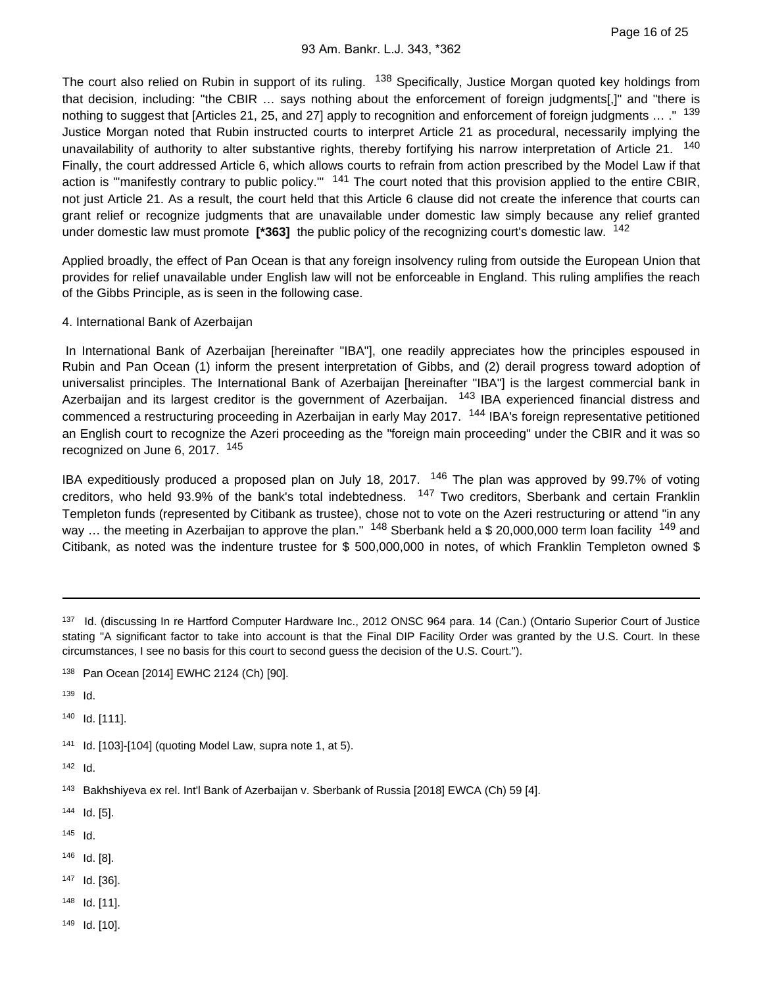The court also relied on Rubin in support of its ruling. <sup>138</sup> Specifically, Justice Morgan quoted key holdings from that decision, including: "the CBIR … says nothing about the enforcement of foreign judgments[,]" and "there is nothing to suggest that [Articles 21, 25, and 27] apply to recognition and enforcement of foreign judgments ... ." 139 Justice Morgan noted that Rubin instructed courts to interpret Article 21 as procedural, necessarily implying the unavailability of authority to alter substantive rights, thereby fortifying his narrow interpretation of Article 21. <sup>140</sup> Finally, the court addressed Article 6, which allows courts to refrain from action prescribed by the Model Law if that action is "manifestly contrary to public policy."  $141$  The court noted that this provision applied to the entire CBIR, not just Article 21. As a result, the court held that this Article 6 clause did not create the inference that courts can grant relief or recognize judgments that are unavailable under domestic law simply because any relief granted under domestic law must promote **[\*363]** the public policy of the recognizing court's domestic law. <sup>142</sup>

Applied broadly, the effect of Pan Ocean is that any foreign insolvency ruling from outside the European Union that provides for relief unavailable under English law will not be enforceable in England. This ruling amplifies the reach of the Gibbs Principle, as is seen in the following case.

#### 4. International Bank of Azerbaijan

 In International Bank of Azerbaijan [hereinafter "IBA"], one readily appreciates how the principles espoused in Rubin and Pan Ocean (1) inform the present interpretation of Gibbs, and (2) derail progress toward adoption of universalist principles. The International Bank of Azerbaijan [hereinafter "IBA"] is the largest commercial bank in Azerbaijan and its largest creditor is the government of Azerbaijan. <sup>143</sup> IBA experienced financial distress and commenced a restructuring proceeding in Azerbaijan in early May 2017. <sup>144</sup> IBA's foreign representative petitioned an English court to recognize the Azeri proceeding as the "foreign main proceeding" under the CBIR and it was so recognized on June 6, 2017, <sup>145</sup>

IBA expeditiously produced a proposed plan on July 18, 2017. <sup>146</sup> The plan was approved by 99.7% of voting creditors, who held 93.9% of the bank's total indebtedness. <sup>147</sup> Two creditors, Sberbank and certain Franklin Templeton funds (represented by Citibank as trustee), chose not to vote on the Azeri restructuring or attend "in any way ... the meeting in Azerbaijan to approve the plan."  $148$  Sberbank held a \$ 20,000,000 term loan facility  $149$  and Citibank, as noted was the indenture trustee for \$ 500,000,000 in notes, of which Franklin Templeton owned \$

140 Id. [111].

 $141$  Id. [103]-[104] (quoting Model Law, supra note 1, at 5).

 $142$  Id.

 $144$  Id. [5].

 $145$  Id.

146 **Id. [8].** 

147 **Id.** [36].

148 **Id.** [11].

149 Id. [10].

<sup>137</sup> Id. (discussing In re Hartford Computer Hardware Inc., 2012 ONSC 964 para. 14 (Can.) (Ontario Superior Court of Justice stating "A significant factor to take into account is that the Final DIP Facility Order was granted by the U.S. Court. In these circumstances, I see no basis for this court to second guess the decision of the U.S. Court.").

<sup>138</sup> Pan Ocean [2014] EWHC 2124 (Ch) [90].

<sup>139</sup> **Id.** 

<sup>143</sup> Bakhshiyeva ex rel. Int'l Bank of Azerbaijan v. Sberbank of Russia [2018] EWCA (Ch) 59 [4].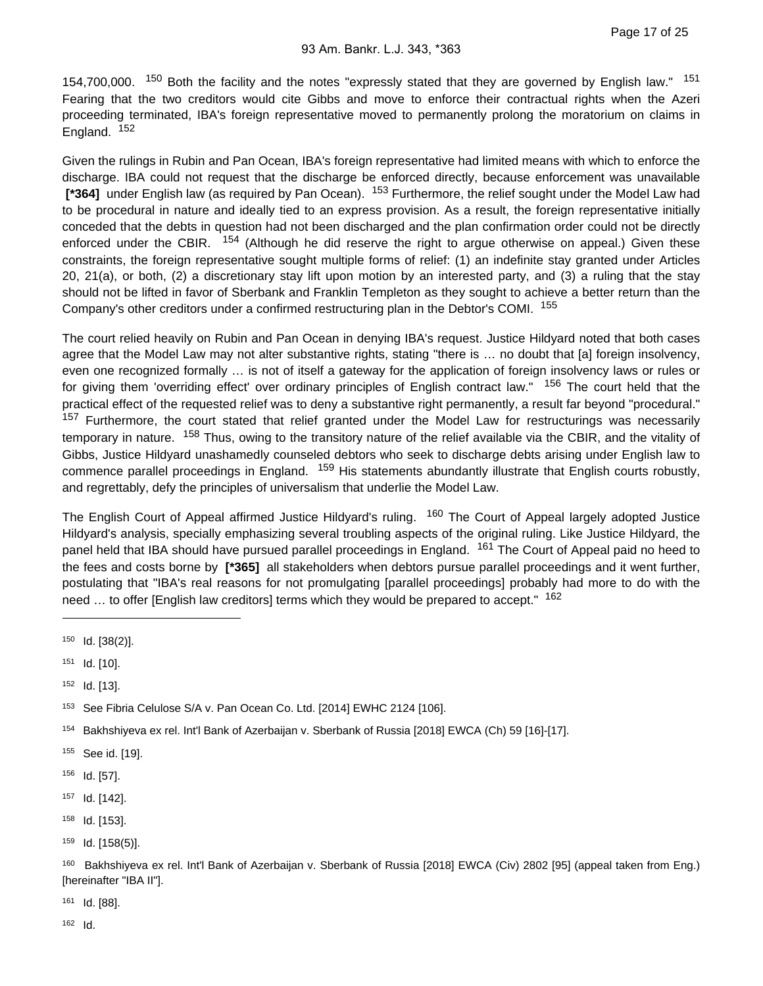154,700,000. <sup>150</sup> Both the facility and the notes "expressly stated that they are governed by English law." <sup>151</sup> Fearing that the two creditors would cite Gibbs and move to enforce their contractual rights when the Azeri proceeding terminated, IBA's foreign representative moved to permanently prolong the moratorium on claims in England. <sup>152</sup>

Given the rulings in Rubin and Pan Ocean, IBA's foreign representative had limited means with which to enforce the discharge. IBA could not request that the discharge be enforced directly, because enforcement was unavailable  **[\*364]** under English law (as required by Pan Ocean). 153 Furthermore, the relief sought under the Model Law had to be procedural in nature and ideally tied to an express provision. As a result, the foreign representative initially conceded that the debts in question had not been discharged and the plan confirmation order could not be directly enforced under the CBIR. <sup>154</sup> (Although he did reserve the right to argue otherwise on appeal.) Given these constraints, the foreign representative sought multiple forms of relief: (1) an indefinite stay granted under Articles 20, 21(a), or both, (2) a discretionary stay lift upon motion by an interested party, and (3) a ruling that the stay should not be lifted in favor of Sberbank and Franklin Templeton as they sought to achieve a better return than the Company's other creditors under a confirmed restructuring plan in the Debtor's COMI. <sup>155</sup>

The court relied heavily on Rubin and Pan Ocean in denying IBA's request. Justice Hildyard noted that both cases agree that the Model Law may not alter substantive rights, stating "there is … no doubt that [a] foreign insolvency, even one recognized formally … is not of itself a gateway for the application of foreign insolvency laws or rules or for giving them 'overriding effect' over ordinary principles of English contract law." <sup>156</sup> The court held that the practical effect of the requested relief was to deny a substantive right permanently, a result far beyond "procedural." <sup>157</sup> Furthermore, the court stated that relief granted under the Model Law for restructurings was necessarily temporary in nature. <sup>158</sup> Thus, owing to the transitory nature of the relief available via the CBIR, and the vitality of Gibbs, Justice Hildyard unashamedly counseled debtors who seek to discharge debts arising under English law to commence parallel proceedings in England. <sup>159</sup> His statements abundantly illustrate that English courts robustly, and regrettably, defy the principles of universalism that underlie the Model Law.

The English Court of Appeal affirmed Justice Hildyard's ruling. <sup>160</sup> The Court of Appeal largely adopted Justice Hildyard's analysis, specially emphasizing several troubling aspects of the original ruling. Like Justice Hildyard, the panel held that IBA should have pursued parallel proceedings in England. <sup>161</sup> The Court of Appeal paid no heed to the fees and costs borne by **[\*365]** all stakeholders when debtors pursue parallel proceedings and it went further, postulating that "IBA's real reasons for not promulgating [parallel proceedings] probably had more to do with the need  $\ldots$  to offer [English law creditors] terms which they would be prepared to accept."  $162$ 

- 155 See id. [19].
- 156 **Id.** [57].
- 157 Id. [142].
- 158 **Id.** [153].
- $159$  Id. [158(5)].

161 **Id.** [88].

 $150$  Id.  $[38(2)]$ .

<sup>151</sup> **Id.** [10].

 $152$  Id. [13].

<sup>&</sup>lt;sup>153</sup> See Fibria Celulose S/A v. Pan Ocean Co. Ltd. [2014] EWHC 2124 [106].

<sup>154</sup> Bakhshiyeva ex rel. Int'l Bank of Azerbaijan v. Sberbank of Russia [2018] EWCA (Ch) 59 [16]-[17].

<sup>160</sup> Bakhshiyeva ex rel. Int'l Bank of Azerbaijan v. Sberbank of Russia [2018] EWCA (Civ) 2802 [95] (appeal taken from Eng.) [hereinafter "IBA II"].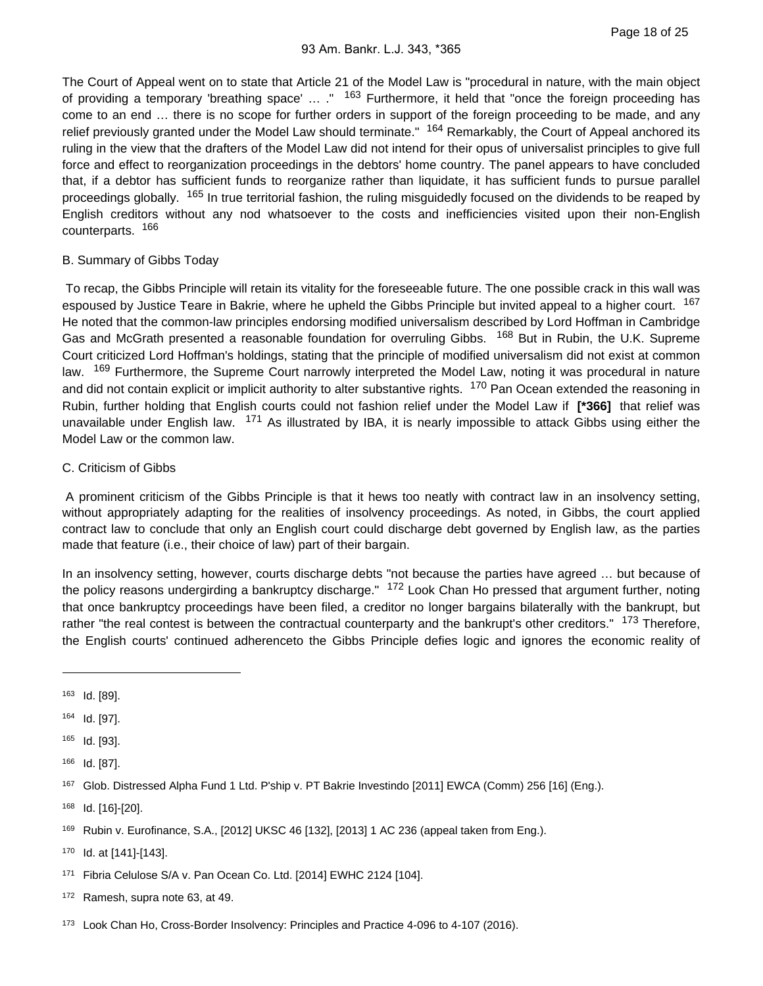The Court of Appeal went on to state that Article 21 of the Model Law is "procedural in nature, with the main object of providing a temporary 'breathing space' ... ." <sup>163</sup> Furthermore, it held that "once the foreign proceeding has come to an end … there is no scope for further orders in support of the foreign proceeding to be made, and any relief previously granted under the Model Law should terminate." <sup>164</sup> Remarkably, the Court of Appeal anchored its ruling in the view that the drafters of the Model Law did not intend for their opus of universalist principles to give full force and effect to reorganization proceedings in the debtors' home country. The panel appears to have concluded that, if a debtor has sufficient funds to reorganize rather than liquidate, it has sufficient funds to pursue parallel proceedings globally. <sup>165</sup> In true territorial fashion, the ruling misguidedly focused on the dividends to be reaped by English creditors without any nod whatsoever to the costs and inefficiencies visited upon their non-English counterparts. <sup>166</sup>

### B. Summary of Gibbs Today

 To recap, the Gibbs Principle will retain its vitality for the foreseeable future. The one possible crack in this wall was espoused by Justice Teare in Bakrie, where he upheld the Gibbs Principle but invited appeal to a higher court. <sup>167</sup> He noted that the common-law principles endorsing modified universalism described by Lord Hoffman in Cambridge Gas and McGrath presented a reasonable foundation for overruling Gibbs. <sup>168</sup> But in Rubin, the U.K. Supreme Court criticized Lord Hoffman's holdings, stating that the principle of modified universalism did not exist at common law. <sup>169</sup> Furthermore, the Supreme Court narrowly interpreted the Model Law, noting it was procedural in nature and did not contain explicit or implicit authority to alter substantive rights. <sup>170</sup> Pan Ocean extended the reasoning in Rubin, further holding that English courts could not fashion relief under the Model Law if **[\*366]** that relief was unavailable under English law. <sup>171</sup> As illustrated by IBA, it is nearly impossible to attack Gibbs using either the Model Law or the common law.

### C. Criticism of Gibbs

 A prominent criticism of the Gibbs Principle is that it hews too neatly with contract law in an insolvency setting, without appropriately adapting for the realities of insolvency proceedings. As noted, in Gibbs, the court applied contract law to conclude that only an English court could discharge debt governed by English law, as the parties made that feature (i.e., their choice of law) part of their bargain.

In an insolvency setting, however, courts discharge debts "not because the parties have agreed … but because of the policy reasons undergirding a bankruptcy discharge." <sup>172</sup> Look Chan Ho pressed that argument further, noting that once bankruptcy proceedings have been filed, a creditor no longer bargains bilaterally with the bankrupt, but rather "the real contest is between the contractual counterparty and the bankrupt's other creditors." <sup>173</sup> Therefore, the English courts' continued adherenceto the Gibbs Principle defies logic and ignores the economic reality of

- 171 Fibria Celulose S/A v. Pan Ocean Co. Ltd. [2014] EWHC 2124 [104].
- 172 Ramesh, supra note 63, at 49.
- 173 Look Chan Ho, Cross-Border Insolvency: Principles and Practice 4-096 to 4-107 (2016).

<sup>163</sup> Id. [89].

<sup>164</sup> Id. [97].

<sup>165</sup> Id. [93].

<sup>166</sup> Id. [87].

<sup>167</sup> Glob. Distressed Alpha Fund 1 Ltd. P'ship v. PT Bakrie Investindo [2011] EWCA (Comm) 256 [16] (Eng.).

<sup>168</sup> Id. [16]-[20].

<sup>169</sup> Rubin v. Eurofinance, S.A., [2012] UKSC 46 [132], [2013] 1 AC 236 (appeal taken from Eng.).

<sup>170</sup> Id. at [141]-[143].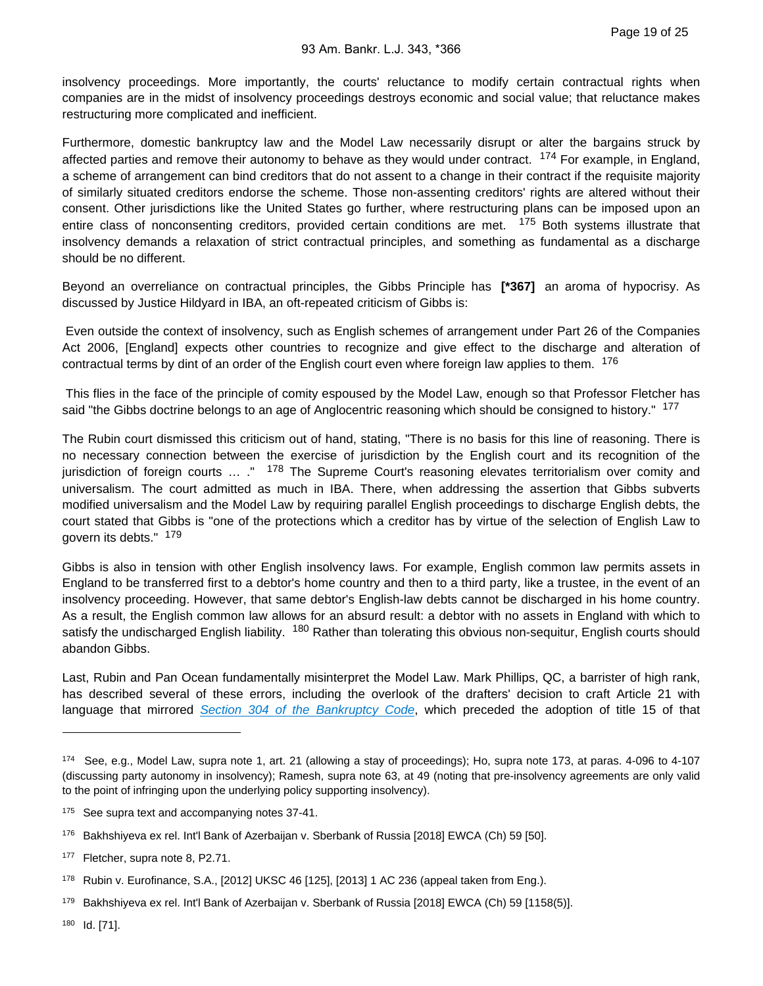insolvency proceedings. More importantly, the courts' reluctance to modify certain contractual rights when companies are in the midst of insolvency proceedings destroys economic and social value; that reluctance makes restructuring more complicated and inefficient.

Furthermore, domestic bankruptcy law and the Model Law necessarily disrupt or alter the bargains struck by affected parties and remove their autonomy to behave as they would under contract. <sup>174</sup> For example, in England, a scheme of arrangement can bind creditors that do not assent to a change in their contract if the requisite majority of similarly situated creditors endorse the scheme. Those non-assenting creditors' rights are altered without their consent. Other jurisdictions like the United States go further, where restructuring plans can be imposed upon an entire class of nonconsenting creditors, provided certain conditions are met. <sup>175</sup> Both systems illustrate that insolvency demands a relaxation of strict contractual principles, and something as fundamental as a discharge should be no different.

Beyond an overreliance on contractual principles, the Gibbs Principle has **[\*367]** an aroma of hypocrisy. As discussed by Justice Hildyard in IBA, an oft-repeated criticism of Gibbs is:

 Even outside the context of insolvency, such as English schemes of arrangement under Part 26 of the Companies Act 2006, [England] expects other countries to recognize and give effect to the discharge and alteration of contractual terms by dint of an order of the English court even where foreign law applies to them. <sup>176</sup>

 This flies in the face of the principle of comity espoused by the Model Law, enough so that Professor Fletcher has said "the Gibbs doctrine belongs to an age of Anglocentric reasoning which should be consigned to history." <sup>177</sup>

The Rubin court dismissed this criticism out of hand, stating, "There is no basis for this line of reasoning. There is no necessary connection between the exercise of jurisdiction by the English court and its recognition of the jurisdiction of foreign courts ... ." <sup>178</sup> The Supreme Court's reasoning elevates territorialism over comity and universalism. The court admitted as much in IBA. There, when addressing the assertion that Gibbs subverts modified universalism and the Model Law by requiring parallel English proceedings to discharge English debts, the court stated that Gibbs is "one of the protections which a creditor has by virtue of the selection of English Law to govern its debts." <sup>179</sup>

Gibbs is also in tension with other English insolvency laws. For example, English common law permits assets in England to be transferred first to a debtor's home country and then to a third party, like a trustee, in the event of an insolvency proceeding. However, that same debtor's English-law debts cannot be discharged in his home country. As a result, the English common law allows for an absurd result: a debtor with no assets in England with which to satisfy the undischarged English liability. <sup>180</sup> Rather than tolerating this obvious non-sequitur, English courts should abandon Gibbs.

Last, Rubin and Pan Ocean fundamentally misinterpret the Model Law. Mark Phillips, QC, a barrister of high rank, has described several of these errors, including the overlook of the drafters' decision to craft Article 21 with language that mirrored [Section 304 of the Bankruptcy Code](https://advance.lexis.com/api/document?collection=statutes-legislation&id=urn:contentItem:8S8T-0CK2-8T6X-73H3-00000-00&context=), which preceded the adoption of title 15 of that

<sup>174</sup> See, e.g., Model Law, supra note 1, art. 21 (allowing a stay of proceedings); Ho, supra note 173, at paras. 4-096 to 4-107 (discussing party autonomy in insolvency); Ramesh, supra note 63, at 49 (noting that pre-insolvency agreements are only valid to the point of infringing upon the underlying policy supporting insolvency).

<sup>&</sup>lt;sup>175</sup> See supra text and accompanying notes 37-41.

<sup>176</sup> Bakhshiyeva ex rel. Int'l Bank of Azerbaijan v. Sberbank of Russia [2018] EWCA (Ch) 59 [50].

<sup>177</sup> Fletcher, supra note 8, P2.71.

<sup>178</sup> Rubin v. Eurofinance, S.A., [2012] UKSC 46 [125], [2013] 1 AC 236 (appeal taken from Eng.).

<sup>179</sup> Bakhshiyeva ex rel. Int'l Bank of Azerbaijan v. Sberbank of Russia [2018] EWCA (Ch) 59 [1158(5)].

<sup>180</sup> Id. [71].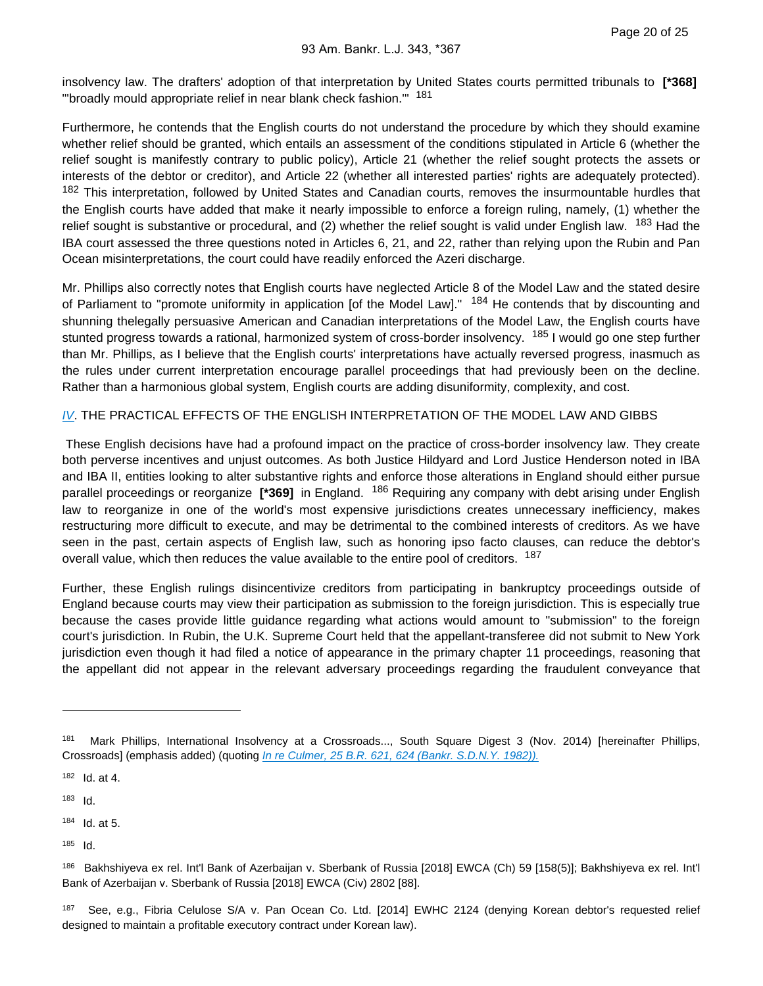insolvency law. The drafters' adoption of that interpretation by United States courts permitted tribunals to **[\*368]**  "'broadly mould appropriate relief in near blank check fashion.'" 181

Furthermore, he contends that the English courts do not understand the procedure by which they should examine whether relief should be granted, which entails an assessment of the conditions stipulated in Article 6 (whether the relief sought is manifestly contrary to public policy), Article 21 (whether the relief sought protects the assets or interests of the debtor or creditor), and Article 22 (whether all interested parties' rights are adequately protected). 182 This interpretation, followed by United States and Canadian courts, removes the insurmountable hurdles that the English courts have added that make it nearly impossible to enforce a foreign ruling, namely, (1) whether the relief sought is substantive or procedural, and (2) whether the relief sought is valid under English law. <sup>183</sup> Had the IBA court assessed the three questions noted in Articles 6, 21, and 22, rather than relying upon the Rubin and Pan Ocean misinterpretations, the court could have readily enforced the Azeri discharge.

Mr. Phillips also correctly notes that English courts have neglected Article 8 of the Model Law and the stated desire of Parliament to "promote uniformity in application [of the Model Law]." <sup>184</sup> He contends that by discounting and shunning thelegally persuasive American and Canadian interpretations of the Model Law, the English courts have stunted progress towards a rational, harmonized system of cross-border insolvency. <sup>185</sup> I would go one step further than Mr. Phillips, as I believe that the English courts' interpretations have actually reversed progress, inasmuch as the rules under current interpretation encourage parallel proceedings that had previously been on the decline. Rather than a harmonious global system, English courts are adding disuniformity, complexity, and cost.

### [IV](https://advance.lexis.com/api/document?collection=statutes-legislation&id=urn:contentItem:8T9R-T3H2-D6RV-H37G-00000-00&context=). THE PRACTICAL EFFECTS OF THE ENGLISH INTERPRETATION OF THE MODEL LAW AND GIBBS

 These English decisions have had a profound impact on the practice of cross-border insolvency law. They create both perverse incentives and unjust outcomes. As both Justice Hildyard and Lord Justice Henderson noted in IBA and IBA II, entities looking to alter substantive rights and enforce those alterations in England should either pursue parallel proceedings or reorganize **[\*369]** in England. 186 Requiring any company with debt arising under English law to reorganize in one of the world's most expensive jurisdictions creates unnecessary inefficiency, makes restructuring more difficult to execute, and may be detrimental to the combined interests of creditors. As we have seen in the past, certain aspects of English law, such as honoring ipso facto clauses, can reduce the debtor's overall value, which then reduces the value available to the entire pool of creditors. <sup>187</sup>

Further, these English rulings disincentivize creditors from participating in bankruptcy proceedings outside of England because courts may view their participation as submission to the foreign jurisdiction. This is especially true because the cases provide little guidance regarding what actions would amount to "submission" to the foreign court's jurisdiction. In Rubin, the U.K. Supreme Court held that the appellant-transferee did not submit to New York jurisdiction even though it had filed a notice of appearance in the primary chapter 11 proceedings, reasoning that the appellant did not appear in the relevant adversary proceedings regarding the fraudulent conveyance that

- $184$  Id. at 5.
- $185$  Id.

<sup>181</sup> Mark Phillips, International Insolvency at a Crossroads..., South Square Digest 3 (Nov. 2014) [hereinafter Phillips, Crossroads] (emphasis added) (quoting [In re Culmer, 25 B.R. 621, 624 \(Bankr. S.D.N.Y. 1982\)\).](https://advance.lexis.com/api/document?collection=cases&id=urn:contentItem:3S4V-R2N0-0039-K4F4-00000-00&context=)

 $182$  Id. at 4.

 $183$  Id.

<sup>186</sup> Bakhshiyeva ex rel. Int'l Bank of Azerbaijan v. Sberbank of Russia [2018] EWCA (Ch) 59 [158(5)]; Bakhshiyeva ex rel. Int'l Bank of Azerbaijan v. Sberbank of Russia [2018] EWCA (Civ) 2802 [88].

<sup>187</sup> See, e.g., Fibria Celulose S/A v. Pan Ocean Co. Ltd. [2014] EWHC 2124 (denying Korean debtor's requested relief designed to maintain a profitable executory contract under Korean law).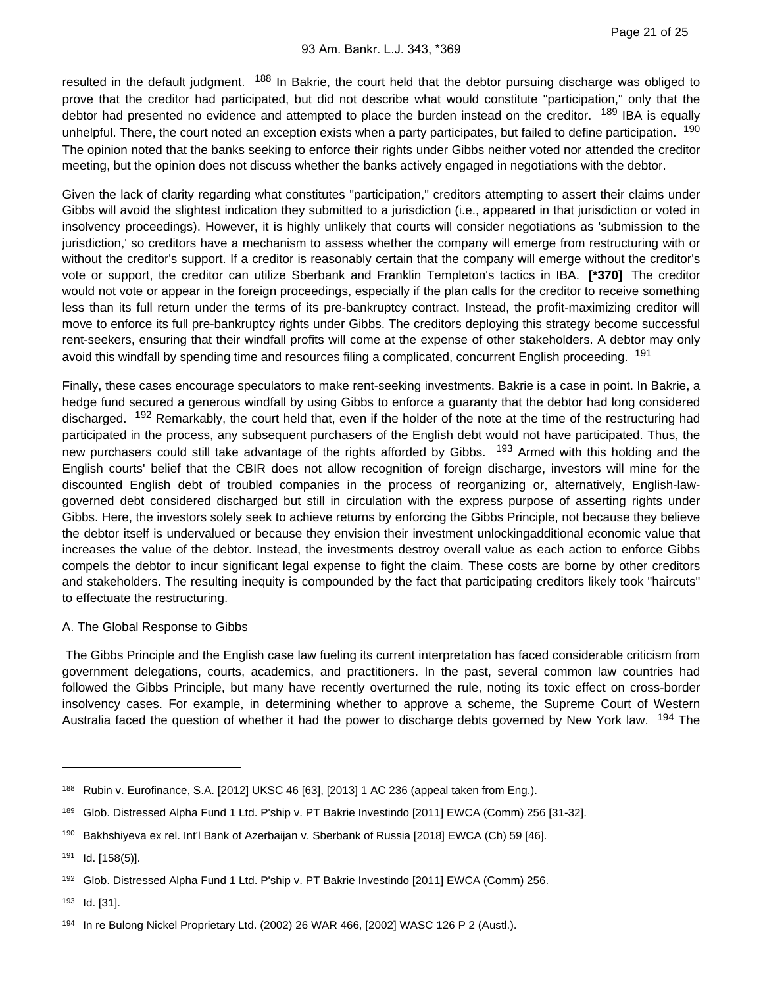resulted in the default judgment. <sup>188</sup> In Bakrie, the court held that the debtor pursuing discharge was obliged to prove that the creditor had participated, but did not describe what would constitute "participation," only that the debtor had presented no evidence and attempted to place the burden instead on the creditor. <sup>189</sup> IBA is equally unhelpful. There, the court noted an exception exists when a party participates, but failed to define participation. <sup>190</sup> The opinion noted that the banks seeking to enforce their rights under Gibbs neither voted nor attended the creditor meeting, but the opinion does not discuss whether the banks actively engaged in negotiations with the debtor.

Given the lack of clarity regarding what constitutes "participation," creditors attempting to assert their claims under Gibbs will avoid the slightest indication they submitted to a jurisdiction (i.e., appeared in that jurisdiction or voted in insolvency proceedings). However, it is highly unlikely that courts will consider negotiations as 'submission to the jurisdiction,' so creditors have a mechanism to assess whether the company will emerge from restructuring with or without the creditor's support. If a creditor is reasonably certain that the company will emerge without the creditor's vote or support, the creditor can utilize Sberbank and Franklin Templeton's tactics in IBA. **[\*370]** The creditor would not vote or appear in the foreign proceedings, especially if the plan calls for the creditor to receive something less than its full return under the terms of its pre-bankruptcy contract. Instead, the profit-maximizing creditor will move to enforce its full pre-bankruptcy rights under Gibbs. The creditors deploying this strategy become successful rent-seekers, ensuring that their windfall profits will come at the expense of other stakeholders. A debtor may only avoid this windfall by spending time and resources filing a complicated, concurrent English proceeding. <sup>191</sup>

Finally, these cases encourage speculators to make rent-seeking investments. Bakrie is a case in point. In Bakrie, a hedge fund secured a generous windfall by using Gibbs to enforce a guaranty that the debtor had long considered discharged. <sup>192</sup> Remarkably, the court held that, even if the holder of the note at the time of the restructuring had participated in the process, any subsequent purchasers of the English debt would not have participated. Thus, the new purchasers could still take advantage of the rights afforded by Gibbs. <sup>193</sup> Armed with this holding and the English courts' belief that the CBIR does not allow recognition of foreign discharge, investors will mine for the discounted English debt of troubled companies in the process of reorganizing or, alternatively, English-lawgoverned debt considered discharged but still in circulation with the express purpose of asserting rights under Gibbs. Here, the investors solely seek to achieve returns by enforcing the Gibbs Principle, not because they believe the debtor itself is undervalued or because they envision their investment unlockingadditional economic value that increases the value of the debtor. Instead, the investments destroy overall value as each action to enforce Gibbs compels the debtor to incur significant legal expense to fight the claim. These costs are borne by other creditors and stakeholders. The resulting inequity is compounded by the fact that participating creditors likely took "haircuts" to effectuate the restructuring.

#### A. The Global Response to Gibbs

 The Gibbs Principle and the English case law fueling its current interpretation has faced considerable criticism from government delegations, courts, academics, and practitioners. In the past, several common law countries had followed the Gibbs Principle, but many have recently overturned the rule, noting its toxic effect on cross-border insolvency cases. For example, in determining whether to approve a scheme, the Supreme Court of Western Australia faced the question of whether it had the power to discharge debts governed by New York law. <sup>194</sup> The

<sup>188</sup> Rubin v. Eurofinance, S.A. [2012] UKSC 46 [63], [2013] 1 AC 236 (appeal taken from Eng.).

<sup>189</sup> Glob. Distressed Alpha Fund 1 Ltd. P'ship v. PT Bakrie Investindo [2011] EWCA (Comm) 256 [31-32].

<sup>190</sup> Bakhshiyeva ex rel. Int'l Bank of Azerbaijan v. Sberbank of Russia [2018] EWCA (Ch) 59 [46].

 $191$  Id. [158(5)].

<sup>192</sup> Glob. Distressed Alpha Fund 1 Ltd. P'ship v. PT Bakrie Investindo [2011] EWCA (Comm) 256.

<sup>193</sup> **Id.** [31].

<sup>194</sup> In re Bulong Nickel Proprietary Ltd. (2002) 26 WAR 466, [2002] WASC 126 P 2 (Austl.).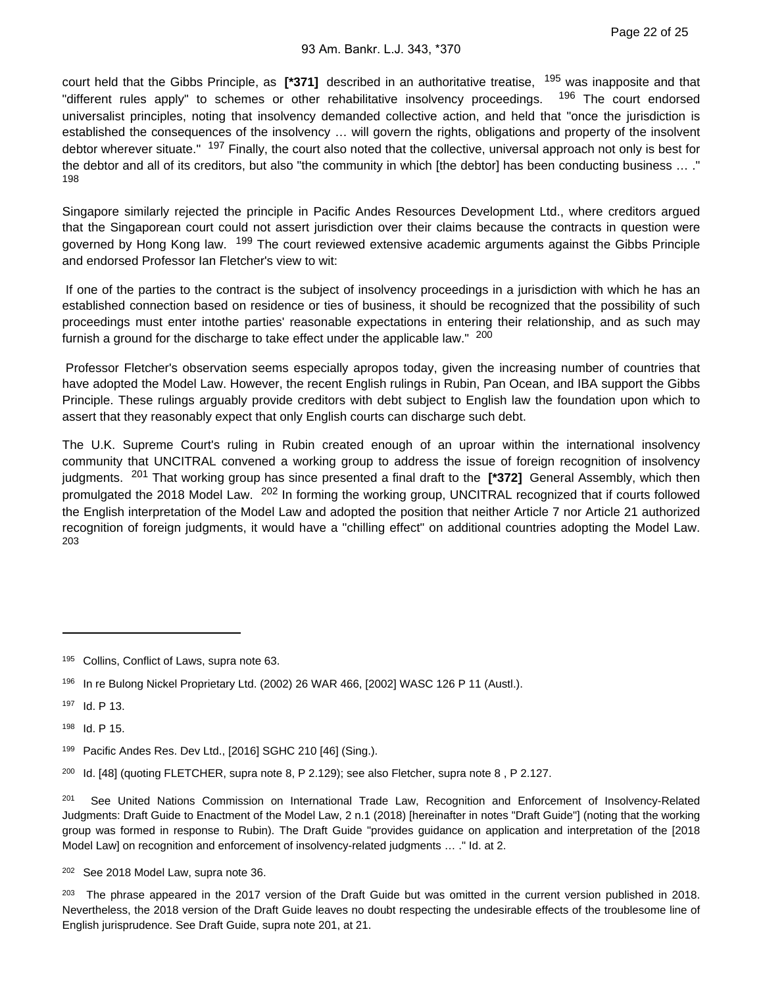court held that the Gibbs Principle, as **[\*371]** described in an authoritative treatise, 195 was inapposite and that "different rules apply" to schemes or other rehabilitative insolvency proceedings. <sup>196</sup> The court endorsed universalist principles, noting that insolvency demanded collective action, and held that "once the jurisdiction is established the consequences of the insolvency … will govern the rights, obligations and property of the insolvent debtor wherever situate." <sup>197</sup> Finally, the court also noted that the collective, universal approach not only is best for the debtor and all of its creditors, but also "the community in which [the debtor] has been conducting business … ." 198

Singapore similarly rejected the principle in Pacific Andes Resources Development Ltd., where creditors argued that the Singaporean court could not assert jurisdiction over their claims because the contracts in question were governed by Hong Kong law. <sup>199</sup> The court reviewed extensive academic arguments against the Gibbs Principle and endorsed Professor Ian Fletcher's view to wit:

 If one of the parties to the contract is the subject of insolvency proceedings in a jurisdiction with which he has an established connection based on residence or ties of business, it should be recognized that the possibility of such proceedings must enter intothe parties' reasonable expectations in entering their relationship, and as such may furnish a ground for the discharge to take effect under the applicable law."  $200$ 

 Professor Fletcher's observation seems especially apropos today, given the increasing number of countries that have adopted the Model Law. However, the recent English rulings in Rubin, Pan Ocean, and IBA support the Gibbs Principle. These rulings arguably provide creditors with debt subject to English law the foundation upon which to assert that they reasonably expect that only English courts can discharge such debt.

The U.K. Supreme Court's ruling in Rubin created enough of an uproar within the international insolvency community that UNCITRAL convened a working group to address the issue of foreign recognition of insolvency judgments. 201 That working group has since presented a final draft to the **[\*372]** General Assembly, which then promulgated the 2018 Model Law. <sup>202</sup> In forming the working group, UNCITRAL recognized that if courts followed the English interpretation of the Model Law and adopted the position that neither Article 7 nor Article 21 authorized recognition of foreign judgments, it would have a "chilling effect" on additional countries adopting the Model Law. 203

198 **Id. P 15.** 

199 Pacific Andes Res. Dev Ltd., [2016] SGHC 210 [46] (Sing.).

<sup>200</sup> Id. [48] (quoting FLETCHER, supra note 8, P 2.129); see also Fletcher, supra note 8, P 2.127.

201 See United Nations Commission on International Trade Law, Recognition and Enforcement of Insolvency-Related Judgments: Draft Guide to Enactment of the Model Law, 2 n.1 (2018) [hereinafter in notes "Draft Guide"] (noting that the working group was formed in response to Rubin). The Draft Guide "provides guidance on application and interpretation of the [2018 Model Law] on recognition and enforcement of insolvency-related judgments … ." Id. at 2.

<sup>202</sup> See 2018 Model Law, supra note 36.

<sup>203</sup> The phrase appeared in the 2017 version of the Draft Guide but was omitted in the current version published in 2018. Nevertheless, the 2018 version of the Draft Guide leaves no doubt respecting the undesirable effects of the troublesome line of English jurisprudence. See Draft Guide, supra note 201, at 21.

<sup>195</sup> Collins, Conflict of Laws, supra note 63.

<sup>196</sup> In re Bulong Nickel Proprietary Ltd. (2002) 26 WAR 466, [2002] WASC 126 P 11 (Austl.).

<sup>197</sup> Id. P 13.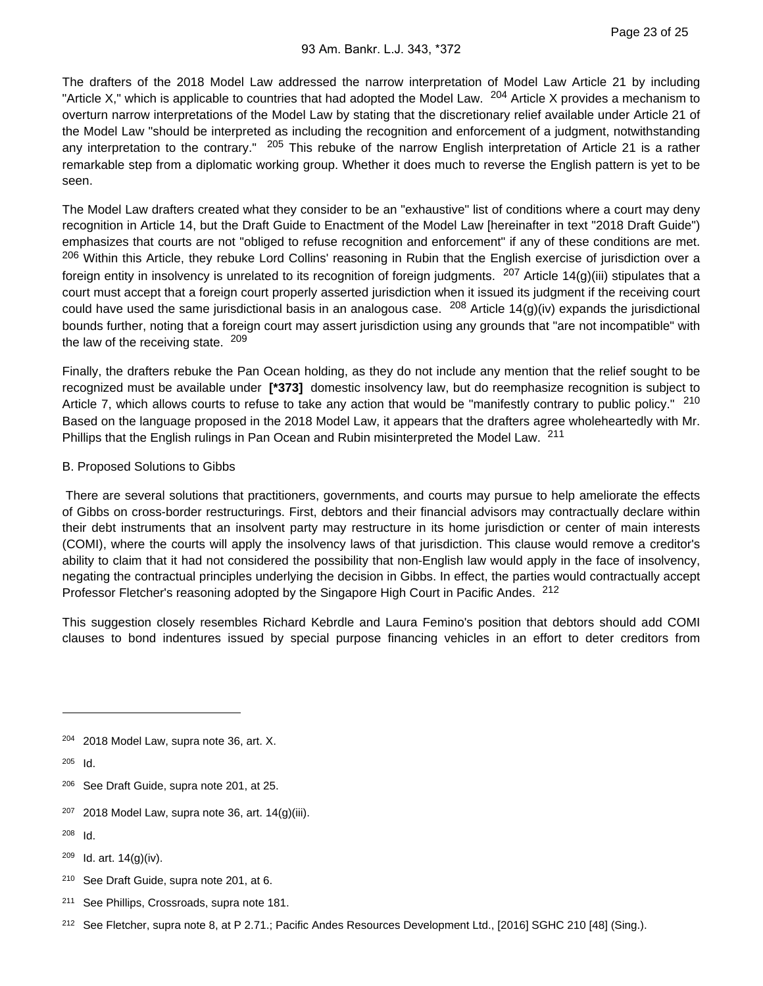The drafters of the 2018 Model Law addressed the narrow interpretation of Model Law Article 21 by including "Article X," which is applicable to countries that had adopted the Model Law.  $204$  Article X provides a mechanism to overturn narrow interpretations of the Model Law by stating that the discretionary relief available under Article 21 of the Model Law "should be interpreted as including the recognition and enforcement of a judgment, notwithstanding any interpretation to the contrary." <sup>205</sup> This rebuke of the narrow English interpretation of Article 21 is a rather remarkable step from a diplomatic working group. Whether it does much to reverse the English pattern is yet to be seen.

The Model Law drafters created what they consider to be an "exhaustive" list of conditions where a court may deny recognition in Article 14, but the Draft Guide to Enactment of the Model Law [hereinafter in text "2018 Draft Guide") emphasizes that courts are not "obliged to refuse recognition and enforcement" if any of these conditions are met. <sup>206</sup> Within this Article, they rebuke Lord Collins' reasoning in Rubin that the English exercise of jurisdiction over a foreign entity in insolvency is unrelated to its recognition of foreign judgments. <sup>207</sup> Article 14(g)(iii) stipulates that a court must accept that a foreign court properly asserted jurisdiction when it issued its judgment if the receiving court could have used the same jurisdictional basis in an analogous case.  $^{208}$  Article 14(g)(iv) expands the jurisdictional bounds further, noting that a foreign court may assert jurisdiction using any grounds that "are not incompatible" with the law of the receiving state. 209

Finally, the drafters rebuke the Pan Ocean holding, as they do not include any mention that the relief sought to be recognized must be available under **[\*373]** domestic insolvency law, but do reemphasize recognition is subject to Article 7, which allows courts to refuse to take any action that would be "manifestly contrary to public policy." 210 Based on the language proposed in the 2018 Model Law, it appears that the drafters agree wholeheartedly with Mr. Phillips that the English rulings in Pan Ocean and Rubin misinterpreted the Model Law. <sup>211</sup>

#### B. Proposed Solutions to Gibbs

 There are several solutions that practitioners, governments, and courts may pursue to help ameliorate the effects of Gibbs on cross-border restructurings. First, debtors and their financial advisors may contractually declare within their debt instruments that an insolvent party may restructure in its home jurisdiction or center of main interests (COMI), where the courts will apply the insolvency laws of that jurisdiction. This clause would remove a creditor's ability to claim that it had not considered the possibility that non-English law would apply in the face of insolvency, negating the contractual principles underlying the decision in Gibbs. In effect, the parties would contractually accept Professor Fletcher's reasoning adopted by the Singapore High Court in Pacific Andes. <sup>212</sup>

This suggestion closely resembles Richard Kebrdle and Laura Femino's position that debtors should add COMI clauses to bond indentures issued by special purpose financing vehicles in an effort to deter creditors from

- $207$  2018 Model Law, supra note 36, art. 14(g)(iii).
- $208$  Id.
- $209$  Id. art.  $14(g)(iv)$ .
- <sup>210</sup> See Draft Guide, supra note 201, at 6.
- <sup>211</sup> See Phillips, Crossroads, supra note 181.
- <sup>212</sup> See Fletcher, supra note 8, at P 2.71.; Pacific Andes Resources Development Ltd., [2016] SGHC 210 [48] (Sing.).

<sup>&</sup>lt;sup>204</sup> 2018 Model Law, supra note 36, art. X.

 $205$  Id.

<sup>&</sup>lt;sup>206</sup> See Draft Guide, supra note 201, at 25.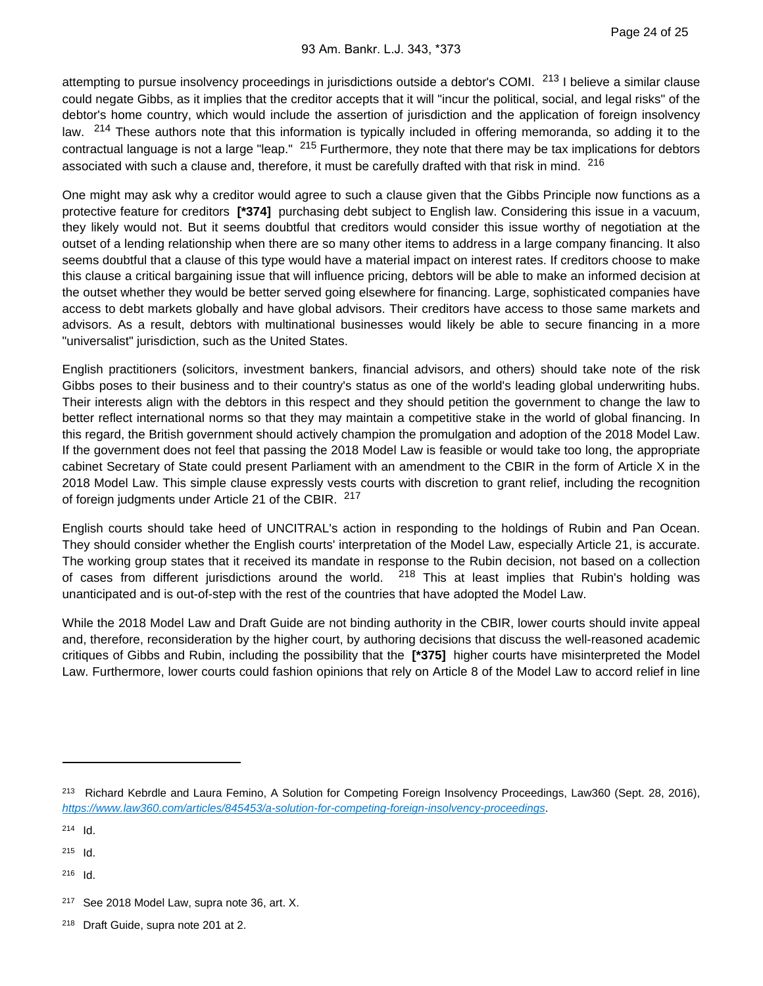attempting to pursue insolvency proceedings in jurisdictions outside a debtor's COMI. <sup>213</sup> I believe a similar clause could negate Gibbs, as it implies that the creditor accepts that it will "incur the political, social, and legal risks" of the debtor's home country, which would include the assertion of jurisdiction and the application of foreign insolvency law. <sup>214</sup> These authors note that this information is typically included in offering memoranda, so adding it to the contractual language is not a large "leap." <sup>215</sup> Furthermore, they note that there may be tax implications for debtors associated with such a clause and, therefore, it must be carefully drafted with that risk in mind. 216

One might may ask why a creditor would agree to such a clause given that the Gibbs Principle now functions as a protective feature for creditors **[\*374]** purchasing debt subject to English law. Considering this issue in a vacuum, they likely would not. But it seems doubtful that creditors would consider this issue worthy of negotiation at the outset of a lending relationship when there are so many other items to address in a large company financing. It also seems doubtful that a clause of this type would have a material impact on interest rates. If creditors choose to make this clause a critical bargaining issue that will influence pricing, debtors will be able to make an informed decision at the outset whether they would be better served going elsewhere for financing. Large, sophisticated companies have access to debt markets globally and have global advisors. Their creditors have access to those same markets and advisors. As a result, debtors with multinational businesses would likely be able to secure financing in a more "universalist" jurisdiction, such as the United States.

English practitioners (solicitors, investment bankers, financial advisors, and others) should take note of the risk Gibbs poses to their business and to their country's status as one of the world's leading global underwriting hubs. Their interests align with the debtors in this respect and they should petition the government to change the law to better reflect international norms so that they may maintain a competitive stake in the world of global financing. In this regard, the British government should actively champion the promulgation and adoption of the 2018 Model Law. If the government does not feel that passing the 2018 Model Law is feasible or would take too long, the appropriate cabinet Secretary of State could present Parliament with an amendment to the CBIR in the form of Article X in the 2018 Model Law. This simple clause expressly vests courts with discretion to grant relief, including the recognition of foreign judgments under Article 21 of the CBIR. 217

English courts should take heed of UNCITRAL's action in responding to the holdings of Rubin and Pan Ocean. They should consider whether the English courts' interpretation of the Model Law, especially Article 21, is accurate. The working group states that it received its mandate in response to the Rubin decision, not based on a collection of cases from different jurisdictions around the world.  $218$  This at least implies that Rubin's holding was unanticipated and is out-of-step with the rest of the countries that have adopted the Model Law.

While the 2018 Model Law and Draft Guide are not binding authority in the CBIR, lower courts should invite appeal and, therefore, reconsideration by the higher court, by authoring decisions that discuss the well-reasoned academic critiques of Gibbs and Rubin, including the possibility that the **[\*375]** higher courts have misinterpreted the Model Law. Furthermore, lower courts could fashion opinions that rely on Article 8 of the Model Law to accord relief in line

<sup>&</sup>lt;sup>213</sup> Richard Kebrdle and Laura Femino, A Solution for Competing Foreign Insolvency Proceedings, Law360 (Sept. 28, 2016), <https://www.law360.com/articles/845453/a-solution-for-competing-foreign-insolvency-proceedings>.

 $214$  Id.

 $215$  Id.

<sup>&</sup>lt;sup>217</sup> See 2018 Model Law, supra note 36, art. X.

<sup>&</sup>lt;sup>218</sup> Draft Guide, supra note 201 at 2.